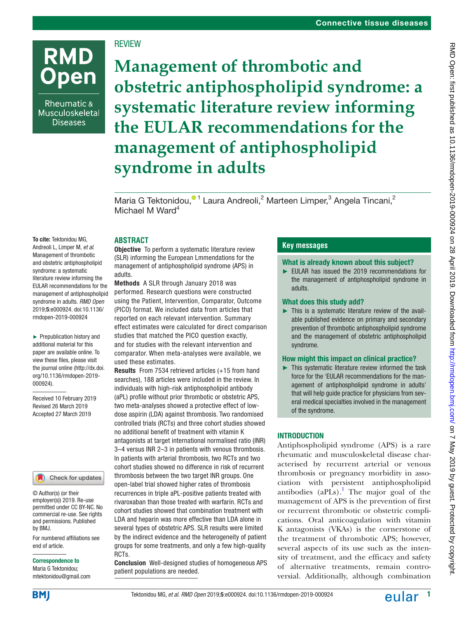# **RFVIFW**

Rheumatic & Musculoskeletal **Diseases** 

**RMD** 

**Open** 

**Management of thrombotic and obstetric antiphospholipid syndrome: a systematic literature review informing the EULAR recommendations for the management of antiphospholipid syndrome in adults**

Maria G Tektonidou,<sup>® 1</sup> Laura Andreoli,<sup>2</sup> Marteen Limper,<sup>3</sup> Angela Tincani,<sup>2</sup> Michael M Ward<sup>4</sup>

# **Abstract**

To cite: Tektonidou MG, Andreoli L, Limper M, *et al*. Management of thrombotic and obstetric antiphospholipid syndrome: a systematic literature review informing the EULAR recommendations for the management of antiphospholipid syndrome in adults. *RMD Open* 2019;5:e000924. doi:10.1136/ rmdopen-2019-000924

► Prepublication history and additional material for this paper are available online. To view these files, please visit the journal online ([http://dx.doi.](http://dx.doi.org/10.1136/rmdopen-2019-000924) [org/10.1136/rmdopen-2019-](http://dx.doi.org/10.1136/rmdopen-2019-000924) [000924](http://dx.doi.org/10.1136/rmdopen-2019-000924)).

Received 10 February 2019 Revised 26 March 2019 Accepted 27 March 2019



© Author(s) (or their employer(s)) 2019. Re-use permitted under CC BY-NC. No commercial re-use. See rights and permissions. Published by BMJ.

For numbered affiliations see end of article.

#### Correspondence to

Maria G Tektonidou; mtektonidou@gmail.com **Objective** To perform a systematic literature review (SLR) informing the European Lmmendations for the management of antiphospholipid syndrome (APS) in adults.

Methods A SLR through January 2018 was performed. Research questions were constructed using the Patient, Intervention, Comparator, Outcome (PICO) format. We included data from articles that reported on each relevant intervention. Summary effect estimates were calculated for direct comparison studies that matched the PICO question exactly, and for studies with the relevant intervention and comparator. When meta-analyses were available, we used these estimates.

Results From 7534 retrieved articles (+15 from hand searches), 188 articles were included in the review. In individuals with high-risk antiphospholipid antibody (aPL) profile without prior thrombotic or obstetric APS, two meta-analyses showed a protective effect of lowdose aspirin (LDA) against thrombosis. Two randomised controlled trials (RCTs) and three cohort studies showed no additional benefit of treatment with vitamin K antagonists at target international normalised ratio (INR) 3–4 versus INR 2–3 in patients with venous thrombosis. In patients with arterial thrombosis, two RCTs and two cohort studies showed no difference in risk of recurrent thrombosis between the two target INR groups. One open-label trial showed higher rates of thrombosis recurrences in triple aPL-positive patients treated with rivaroxaban than those treated with warfarin. RCTs and cohort studies showed that combination treatment with LDA and heparin was more effective than LDA alone in several types of obstetric APS. SLR results were limited by the indirect evidence and the heterogeneity of patient groups for some treatments, and only a few high-quality RCTs.

Conclusion Well-designed studies of homogeneous APS patient populations are needed.

### **Key messages**

#### What is already known about this subject?

► EULAR has issued the 2019 recommendations for the management of antiphospholipid syndrome in adults.

#### What does this study add?

► This is a systematic literature review of the available published evidence on primary and secondary prevention of thrombotic antiphospholipid syndrome and the management of obstetric antiphospholipid syndrome.

#### How might this impact on clinical practice?

► This systematic literature review informed the task force for the 'EULAR recommendations for the management of antiphospholipid syndrome in adults' that will help guide practice for physicians from several medical specialties involved in the management of the syndrome.

# **INTRODUCTION**

Antiphospholipid syndrome (APS) is a rare rheumatic and musculoskeletal disease characterised by recurrent arterial or venous thrombosis or pregnancy morbidity in association with persistent antiphospholipid antibodies  $(aPLs)$ .<sup>[1](#page-14-0)</sup> The major goal of the management of APS is the prevention of first or recurrent thrombotic or obstetric complications. Oral anticoagulation with vitamin K antagonists (VKAs) is the cornerstone of the treatment of thrombotic APS; however, several aspects of its use such as the intensity of treatment, and the efficacy and safety of alternative treatments, remain controversial. Additionally, although combination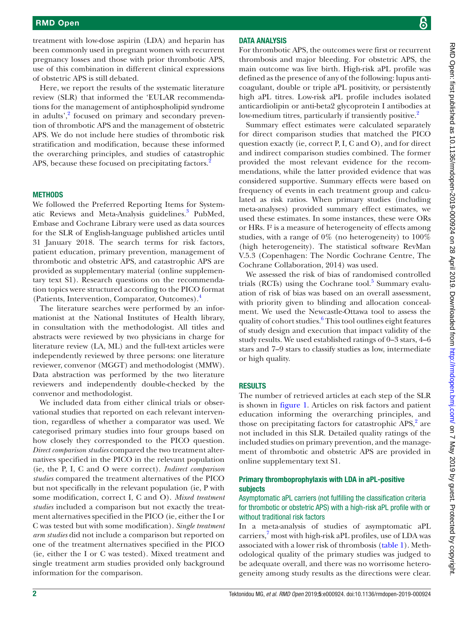treatment with low-dose aspirin (LDA) and heparin has been commonly used in pregnant women with recurrent pregnancy losses and those with prior thrombotic APS, use of this combination in different clinical expressions of obstetric APS is still debated.

Here, we report the results of the systematic literature review (SLR) that informed the 'EULAR recommendations for the management of antiphospholipid syndrome in adults',<sup>[2](#page-14-1)</sup> focused on primary and secondary prevention of thrombotic APS and the management of obstetric APS. We do not include here studies of thrombotic risk stratification and modification, because these informed the overarching principles, and studies of catastrophic APS, because these focused on precipitating factors.<sup>[2](#page-14-1)</sup>

#### **METHODS**

We followed the Preferred Reporting Items for Systematic Reviews and Meta-Analysis guidelines.<sup>3</sup> PubMed, Embase and Cochrane Library were used as data sources for the SLR of English-language published articles until 31 January 2018. The search terms for risk factors, patient education, primary prevention, management of thrombotic and obstetric APS, and catastrophic APS are provided as supplementary material [\(online supplemen](https://dx.doi.org/10.1136/rmdopen-2019-000924)[tary text S1\)](https://dx.doi.org/10.1136/rmdopen-2019-000924). Research questions on the recommendation topics were structured according to the PICO format (Patients, Intervention, Comparator, Outcomes)[.4](#page-14-3)

The literature searches were performed by an informationist at the National Institutes of Health library, in consultation with the methodologist. All titles and abstracts were reviewed by two physicians in charge for literature review (LA, ML) and the full-text articles were independently reviewed by three persons: one literature reviewer, convenor (MGGT) and methodologist (MMW). Data abstraction was performed by the two literature reviewers and independently double-checked by the convenor and methodologist.

We included data from either clinical trials or observational studies that reported on each relevant intervention, regardless of whether a comparator was used. We categorised primary studies into four groups based on how closely they corresponded to the PICO question. *Direct comparison studies* compared the two treatment alternatives specified in the PICO in the relevant population (ie, the P, I, C and O were correct). *Indirect comparison studies* compared the treatment alternatives of the PICO but not specifically in the relevant population (ie, P with some modification, correct I, C and O). *Mixed treatment studies* included a comparison but not exactly the treatment alternatives specified in the PICO (ie, either the I or C was tested but with some modification). *Single treatment arm studies* did not include a comparison but reported on one of the treatment alternatives specified in the PICO (ie, either the I or C was tested). Mixed treatment and single treatment arm studies provided only background information for the comparison.

# DATA ANALYSIS

For thrombotic APS, the outcomes were first or recurrent thrombosis and major bleeding. For obstetric APS, the main outcome was live birth. High-risk aPL profile was defined as the presence of any of the following: lupus anticoagulant, double or triple aPL positivity, or persistently high aPL titres. Low-risk aPL profile includes isolated anticardiolipin or anti-beta2 glycoprotein I antibodies at low-medium titres, particularly if transiently positive.<sup>[2](#page-14-1)</sup>

Summary effect estimates were calculated separately for direct comparison studies that matched the PICO question exactly (ie, correct P, I, C and O), and for direct and indirect comparison studies combined. The former provided the most relevant evidence for the recommendations, while the latter provided evidence that was considered supportive. Summary effects were based on frequency of events in each treatment group and calculated as risk ratios. When primary studies (including meta-analyses) provided summary effect estimates, we used these estimates. In some instances, these were ORs or HRs. I² is a measure of heterogeneity of effects among studies, with a range of 0% (no heterogeneity) to 100% (high heterogeneity). The statistical software RevMan V.5.3 (Copenhagen: The Nordic Cochrane Centre, The Cochrane Collaboration, 2014) was used.

We assessed the risk of bias of randomised controlled trials (RCTs) using the Cochrane tool.<sup>[5](#page-14-4)</sup> Summary evaluation of risk of bias was based on an overall assessment, with priority given to blinding and allocation concealment. We used the Newcastle-Ottawa tool to assess the quality of cohort studies.<sup>6</sup> This tool outlines eight features of study design and execution that impact validity of the study results. We used established ratings of 0–3 stars, 4–6 stars and 7–9 stars to classify studies as low, intermediate or high quality.

# **RESULTS**

The number of retrieved articles at each step of the SLR is shown in [figure](#page-2-0) 1. Articles on risk factors and patient education informing the overarching principles, and those on precipitating factors for catastrophic APS,<sup>[2](#page-14-1)</sup> are not included in this SLR. Detailed quality ratings of the included studies on primary prevention, and the management of thrombotic and obstetric APS are provided in [online supplementary text S1.](https://dx.doi.org/10.1136/rmdopen-2019-000924)

# Primary thromboprophylaxis with LDA in aPL-positive subjects

# Asymptomatic aPL carriers (not fulfilling the classification criteria for thrombotic or obstetric APS) with a high-risk aPL profile with or without traditional risk factors

In a meta-analysis of studies of asymptomatic aPL carriers,<sup>7</sup> most with high-risk aPL profiles, use of LDA was associated with a lower risk of thrombosis ([table](#page-3-0) 1). Methodological quality of the primary studies was judged to be adequate overall, and there was no worrisome heterogeneity among study results as the directions were clear.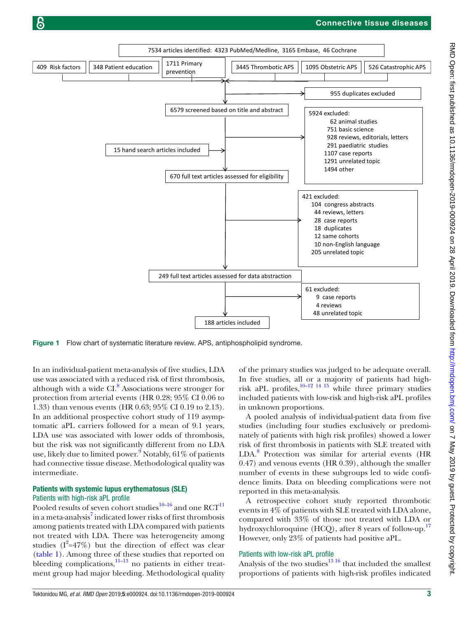

<span id="page-2-0"></span>Figure 1 Flow chart of systematic literature review. APS, antiphospholipid syndrome.

In an individual-patient meta-analysis of five studies, LDA use was associated with a reduced risk of first thrombosis, although with a wide  $CI.^8$  $CI.^8$  Associations were stronger for protection from arterial events (HR 0.28; 95% CI 0.06 to 1.33) than venous events (HR 0.63; 95% CI 0.19 to 2.13). In an additional prospective cohort study of 119 asymptomatic aPL carriers followed for a mean of 9.1 years, LDA use was associated with lower odds of thrombosis, but the risk was not significantly different from no LDA use, likely due to limited power. $\frac{9}{5}$  $\frac{9}{5}$  $\frac{9}{5}$  Notably, 61% of patients had connective tissue disease. Methodological quality was intermediate.

### Patients with systemic lupus erythematosus (SLE) Patients with high-risk aPL profile

Pooled results of seven cohort studies<sup>10–16</sup> and one  $\mathrm{RCT}^{11}$ in a meta-analysis<sup>[7](#page-14-6)</sup> indicated lower risks of first thrombosis among patients treated with LDA compared with patients not treated with LDA. There was heterogeneity among studies  $(I^2=47\%)$  but the direction of effect was clear [\(table](#page-3-0) 1). Among three of these studies that reported on bleeding complications, $11-13$  no patients in either treatment group had major bleeding. Methodological quality

of the primary studies was judged to be adequate overall. In five studies, all or a majority of patients had highrisk aPL profiles, $10-12$  <sup>14 15</sup> while three primary studies included patients with low-risk and high-risk aPL profiles in unknown proportions.

A pooled analysis of individual-patient data from five studies (including four studies exclusively or predominately of patients with high risk profiles) showed a lower risk of first thrombosis in patients with SLE treated with LDA.[8](#page-14-7) Protection was similar for arterial events (HR 0.47) and venous events (HR 0.39), although the smaller number of events in these subgroups led to wide confidence limits. Data on bleeding complications were not reported in this meta-analysis.

A retrospective cohort study reported thrombotic events in 4% of patients with SLE treated with LDA alone, compared with 33% of those not treated with LDA or hydroxychloroquine (HCQ), after 8 years of follow-up.<sup>17</sup> However, only 23% of patients had positive aPL.

#### Patients with low-risk aPL profile

Analysis of the two studies $^{13 \tcdot 16}$  that included the smallest proportions of patients with high-risk profiles indicated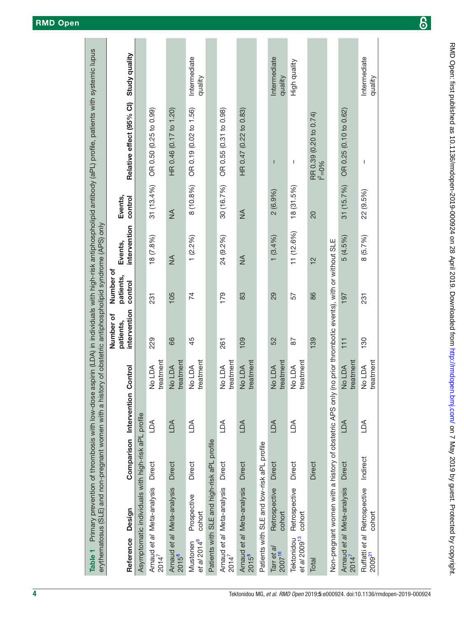<span id="page-3-0"></span>

| erythematosus (SLE) and non-pregnant women with a history of obstetric antiphospholipid syndrome (APS) only<br>Table <sub>1</sub> |                         |                |                            |                                                  |                      |                         |                    | Primary prevention of thrombosis with low-dose aspirin (LDA) in individuals with high-risk antiphospholipid antibody (aPL) profile, patients with systemic lupus |                         |
|-----------------------------------------------------------------------------------------------------------------------------------|-------------------------|----------------|----------------------------|--------------------------------------------------|----------------------|-------------------------|--------------------|------------------------------------------------------------------------------------------------------------------------------------------------------------------|-------------------------|
|                                                                                                                                   |                         |                |                            | Number of                                        | Number of            |                         |                    |                                                                                                                                                                  |                         |
| Design<br>Reference                                                                                                               | Comparison Intervention |                | Control                    | intervention<br>patients,                        | patients,<br>control | intervention<br>Events, | Events,<br>control | Relative effect (95% CI)                                                                                                                                         | Study quality           |
| Asymptomatic individuals with high-risk aPL profile                                                                               |                         |                |                            |                                                  |                      |                         |                    |                                                                                                                                                                  |                         |
| Arnaud et al Meta-analysis<br>$2014^7$                                                                                            | Direct                  | Αď             | treatment<br>No LDA        | 229                                              | 231                  | 18 (7.8%)               | 31 (13.4%)         | OR 0.50 (0.25 to 0.99)                                                                                                                                           |                         |
| Arnaud et al Meta-analysis<br>$2015^{8}$                                                                                          | <b>Direct</b>           | ACLI           | treatment<br><b>ACLION</b> | 66                                               | 105                  | $\frac{4}{2}$           | ≸                  | HR 0.46 (0.17 to 1.20)                                                                                                                                           |                         |
| Prospective<br>cohort<br>et al $20149$<br>Mustonen                                                                                | Direct                  | ДQ             | treatment<br><b>ACT ON</b> | 45                                               | 74                   | 1(2.2%)                 | 8 (10.8%)          | OR 0.19 (0.02 to 1.56)                                                                                                                                           | Intermediate<br>quality |
| Patients with SLE and high-risk aPL profile                                                                                       |                         |                |                            |                                                  |                      |                         |                    |                                                                                                                                                                  |                         |
| Arnaud et al Meta-analysis<br>2014 <sup>7</sup>                                                                                   | Direct                  | Αď             | treatment<br>No LDA        | 261                                              | 179                  | 24 (9.2%)               | 30 (16.7%)         | OR 0.55 (0.31 to 0.98)                                                                                                                                           |                         |
| Arnaud et al Meta-analysis<br>2015 <sup>8</sup>                                                                                   | Direct                  | LDA            | treatment<br><b>ACLION</b> | 109                                              | 83                   | $\frac{1}{2}$           | ≸                  | HR 0.47 (0.22 to 0.83)                                                                                                                                           |                         |
| Patients with SLE and low-risk aPL profile                                                                                        |                         |                |                            |                                                  |                      |                         |                    |                                                                                                                                                                  |                         |
| Retrospective<br>cohort<br>Tarr et al<br>$2007^{16}$                                                                              | <b>Direct</b>           | ACLI           | treatment<br><b>ACLION</b> | 52                                               | 29                   | 1(3.4%)                 | 2(6.9%)            | I                                                                                                                                                                | Intermediate<br>quality |
| Retrospective<br>cohort<br>et al 2009 <sup>13</sup><br>Tektonidou                                                                 | Direct                  | $\mathbb{E}$   | treatment<br><b>ACT ON</b> | 28                                               | 57                   | 11 (12.6%)              | 18 (31.5%)         | I                                                                                                                                                                | High quality            |
| Total                                                                                                                             | <b>Direct</b>           |                |                            | 139                                              | 86                   | $\frac{2}{3}$           | 20                 | RR 0.39 (0.20 to 0.74)<br>  <sup>2</sup> =0%                                                                                                                     |                         |
| Non-pregnant women with a history of obstetric APS only                                                                           |                         |                |                            | no prior thrombotic events), with or without SLE |                      |                         |                    |                                                                                                                                                                  |                         |
| Arnaud et al Meta-analysis<br>2014 <sup>7</sup>                                                                                   | <b>Direct</b>           | LDA            | treatment<br><b>ACLION</b> | $\overline{11}$                                  | 197                  | 5(4.5%)                 | 31 (15.7%)         | OR 0.25 (0.10 to 0.62)                                                                                                                                           |                         |
| Ruffatti et a/ Retrospective<br>2009 <sup>21</sup> cohort                                                                         | Indirect                | $\overline{P}$ | treatment<br>No LDA        | 130                                              | 231                  | 8 (5.7%)                | 22 (9.5%)          | I                                                                                                                                                                | Intermediate<br>quality |
|                                                                                                                                   |                         |                |                            |                                                  |                      |                         |                    |                                                                                                                                                                  |                         |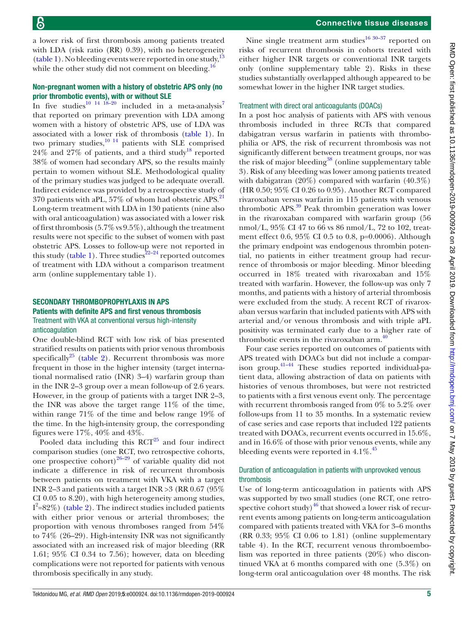a lower risk of first thrombosis among patients treated with LDA (risk ratio (RR) 0.39), with no heterogeneity [\(table](#page-3-0) 1). No bleeding events were reported in one study,  $13$ while the other study did not comment on bleeding.<sup>[16](#page-15-1)</sup>

# Non-pregnant women with a history of obstetric APS only (no prior thrombotic events), with or without SLE

In five studies<sup>10 14 18–20</sup> included in a meta-analysis<sup>[7](#page-14-6)</sup> that reported on primary prevention with LDA among women with a history of obstetric APS, use of LDA was associated with a lower risk of thrombosis [\(table](#page-3-0) 1). In two primary studies,<sup>10 14</sup> patients with SLE comprised  $24\%$  and  $27\%$  of patients, and a third study<sup>18</sup> reported 38% of women had secondary APS, so the results mainly pertain to women without SLE. Methodological quality of the primary studies was judged to be adequate overall. Indirect evidence was provided by a retrospective study of 370 patients with aPL, 57% of whom had obstetric APS.<sup>21</sup> Long-term treatment with LDA in 130 patients (nine also with oral anticoagulation) was associated with a lower risk of first thrombosis (5.7% vs 9.5%), although the treatment results were not specific to the subset of women with past obstetric APS. Losses to follow-up were not reported in this study [\(table](#page-3-0) 1). Three studies<sup> $22-24$ </sup> reported outcomes of treatment with LDA without a comparison treatment arm [\(online supplementary table 1\)](https://dx.doi.org/10.1136/rmdopen-2019-000924).

### Secondary thromboprophylaxis in APS Patients with definite APS and first venous thrombosis Treatment with VKA at conventional versus high-intensity

anticoagulation

One double-blind RCT with low risk of bias presented stratified results on patients with prior venous thrombosis specifically<sup>25</sup> [\(table](#page-5-0) 2). Recurrent thrombosis was more frequent in those in the higher intensity (target international normalised ratio (INR) 3–4) warfarin group than in the INR 2–3 group over a mean follow-up of 2.6 years. However, in the group of patients with a target INR 2–3, the INR was above the target range 11% of the time, within range 71% of the time and below range 19% of the time. In the high-intensity group, the corresponding figures were 17%, 40% and 43%.

Pooled data including this  $RCT^{25}$  and four indirect comparison studies (one RCT, two retrospective cohorts, one prospective cohort) $26-29$  of variable quality did not indicate a difference in risk of recurrent thrombosis between patients on treatment with VKA with a target INR 2–3 and patients with a target INR >3 (RR 0.67 (95% CI 0.05 to 8.20), with high heterogeneity among studies,  $I^2$ =82%) ([table](#page-5-0) 2). The indirect studies included patients with either prior venous or arterial thromboses; the proportion with venous thromboses ranged from 54% to 74% (26–29). High-intensity INR was not significantly associated with an increased risk of major bleeding (RR 1.61; 95% CI 0.34 to 7.56); however, data on bleeding complications were not reported for patients with venous thrombosis specifically in any study.

Nine single treatment arm studies<sup>[16 30–37](#page-15-1)</sup> reported on risks of recurrent thrombosis in cohorts treated with either higher INR targets or conventional INR targets only [\(online supplementary table 2](https://dx.doi.org/10.1136/rmdopen-2019-000924)). Risks in these studies substantially overlapped although appeared to be somewhat lower in the higher INR target studies.

# Treatment with direct oral anticoagulants (DOACs)

In a post hoc analysis of patients with APS with venous thrombosis included in three RCTs that compared dabigatran versus warfarin in patients with thrombophilia or APS, the risk of recurrent thrombosis was not significantly different between treatment groups, nor was the risk of major bleeding $38$  ([online supplementary table](https://dx.doi.org/10.1136/rmdopen-2019-000924) [3](https://dx.doi.org/10.1136/rmdopen-2019-000924)). Risk of any bleeding was lower among patients treated with dabigatran  $(20\%)$  compared with warfarin  $(40.3\%)$ (HR 0.50; 95% CI 0.26 to 0.95). Another RCT compared rivaroxaban versus warfarin in 115 patients with venous thrombotic APS. $^{39}$  Peak thrombin generation was lower in the rivaroxaban compared with warfarin group (56 nmol/L, 95% CI 47 to 66 vs 86 nmol/L, 72 to 102, treatment effect 0.6, 95% CI 0.5 to 0.8, p=0.0006). Although the primary endpoint was endogenous thrombin potential, no patients in either treatment group had recurrence of thrombosis or major bleeding. Minor bleeding occurred in 18% treated with rivaroxaban and 15% treated with warfarin. However, the follow-up was only 7 months, and patients with a history of arterial thrombosis were excluded from the study. A recent RCT of rivaroxaban versus warfarin that included patients with APS with arterial and/or venous thrombosis and with triple aPL positivity was terminated early due to a higher rate of thrombotic events in the rivaroxaban arm. $^{40}$  $^{40}$  $^{40}$ 

Four case series reported on outcomes of patients with APS treated with DOACs but did not include a comparison group. $41-44$  These studies reported individual-patient data, allowing abstraction of data on patients with histories of venous thromboses, but were not restricted to patients with a first venous event only. The percentage with recurrent thrombosis ranged from 0% to 5.2% over follow-ups from 11 to 35 months. In a systematic review of case series and case reports that included 122 patients treated with DOACs, recurrent events occurred in 15.6%, and in 16.6% of those with prior venous events, while any bleeding events were reported in  $4.1\%$ .<sup>45</sup>

# Duration of anticoagulation in patients with unprovoked venous thrombosis

Use of long-term anticoagulation in patients with APS was supported by two small studies (one RCT, one retrospective cohort study) $^{46}$  that showed a lower risk of recurrent events among patients on long-term anticoagulation compared with patients treated with VKA for 3–6 months (RR 0.33; 95% CI 0.06 to 1.81) [\(online supplementary](https://dx.doi.org/10.1136/rmdopen-2019-000924) [table 4\)](https://dx.doi.org/10.1136/rmdopen-2019-000924). In the RCT, recurrent venous thromboembolism was reported in three patients (20%) who discontinued VKA at 6 months compared with one (5.3%) on long-term oral anticoagulation over 48 months. The risk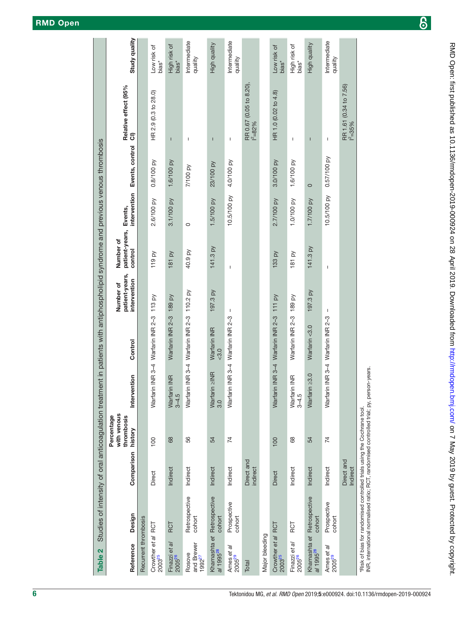| <b>Table 2</b>                               |                                                                         |                        |                                         |                                         | Studies of intensity of oral anticoagulation treatment in patients with antiphospholipid syndrome and previous venous thrombosis |                             |                             |              |                 |                                                |                                  |
|----------------------------------------------|-------------------------------------------------------------------------|------------------------|-----------------------------------------|-----------------------------------------|----------------------------------------------------------------------------------------------------------------------------------|-----------------------------|-----------------------------|--------------|-----------------|------------------------------------------------|----------------------------------|
|                                              |                                                                         |                        | with venous<br>Percentage<br>thrombosis |                                         |                                                                                                                                  | patient-years,<br>Number of | patient-years,<br>Number of | Events,      |                 | Relative effect (95%                           |                                  |
| Reference                                    | Design                                                                  | Comparison             | history                                 | Intervention                            | Control                                                                                                                          | intervention                | control                     | intervention | Events, control | $\widehat{\sigma}$                             | Study quality                    |
| Recurrent thrombosis                         |                                                                         |                        |                                         |                                         |                                                                                                                                  |                             |                             |              |                 |                                                |                                  |
| Crowther et al 1<br>2003 <sup>25</sup>       | RCT                                                                     | Direct                 | 100                                     | Warfarin                                | INR 3-4 Warfarin INR 2-3 113 py                                                                                                  |                             | 119 py                      | 2.6/100 py   | 0.8/100 py      | HR 2.9 (0.3 to 28.0)                           | Low risk of<br>bias <sup>*</sup> |
| Finazzi et al<br>2005 <sup>26</sup>          | RCT                                                                     | Indirect               | 68                                      | $\overline{M}$<br>Warfarin<br>$3 - 4.5$ | Warfarin INR 2-3 189 py                                                                                                          |                             | 181 py                      | 3.1/100 py   | 1.6/100 py      | $\overline{1}$                                 | High risk of<br>bias*            |
| and Brewer<br>1992 <sup>27</sup><br>Rosove   | Retrospective<br>cohort                                                 | Indirect               | 56                                      | Warfarin                                | INR 3-4 Warfarin INR 2-3 110.2 py                                                                                                |                             | 40.9 py                     | $\circ$      | 7/100 py        | $\mathbf{I}$                                   | Intermediate<br>quality          |
| Khamashta et<br><i>al</i> 1995 <sup>28</sup> | Retrospective<br>cohort                                                 | Indirect               | 54                                      | $\geq$ INR<br>Warfarin<br>3.0           | Warfarin INR<br>& 3.0                                                                                                            | 197.3 py                    | 141.3 py                    | 1.5/100 py   | 23/100 py       | I                                              | High quality                     |
| Ames et al<br>2005 <sup>29</sup>             | Prospective<br>cohort                                                   | Indirect               | 74                                      | Warfarin                                | INR 3-4 Warfarin INR 2-3                                                                                                         | I                           | I.                          | 10.5/100 py  | 4.0/100 py      | $\overline{1}$                                 | Intermediate<br>quality          |
| Total                                        |                                                                         | Direct and<br>indirect |                                         |                                         |                                                                                                                                  |                             |                             |              |                 | RR 0.67 (0.05 to 8.20),<br>  <sup>2</sup> =82% |                                  |
| Major bleeding                               |                                                                         |                        |                                         |                                         |                                                                                                                                  |                             |                             |              |                 |                                                |                                  |
| Crowther et a/ RCT<br>2003 <sup>25</sup>     |                                                                         | Direct                 | 100                                     | Warfarin                                | INR 3-4 Warfarin INR 2-3 111 py                                                                                                  |                             | 133 py                      | 2.7/100 py   | 3.0/100 py      | HR 1.0 (0.02 to 4.8)                           | Low risk of<br>$bias^*$          |
| Finazzi et al<br>2005 <sup>26</sup>          | RCT                                                                     | Indirect               | 89                                      | ΜR<br>Warfarin<br>$3 - 4.5$             | Warfarin INR 2-3                                                                                                                 | 189 py                      | $181$ py                    | 1.0/100 py   | 1.6/100 py      | $\overline{1}$                                 | High risk of<br>bias*            |
| Khamashta et<br>a/ 1995 <sup>28</sup>        | Retrospective<br>cohort                                                 | Indirect               | 54                                      | $\geq 3.0$<br>Warfarin                  | Warfarin <3.0                                                                                                                    | 197.3 py                    | 141.3 py                    | 1.7/100 py   | $\circ$         | Ī                                              | High quality                     |
| Ames et al<br>2005 <sup>29</sup>             | Prospective<br>cohort                                                   | Indirect               | 74                                      | Warfarin                                | INR 3-4 Warfarin INR 2-3                                                                                                         | I                           | I                           | 10.5/100 py  | 0.57/100 py     | I                                              | Intermediate<br>quality          |
|                                              |                                                                         | Direct and<br>Indirect |                                         |                                         |                                                                                                                                  |                             |                             |              |                 | RR 1.61 (0.34 to 7.56)<br>  <sup>2</sup> =35%  |                                  |
|                                              | "Risk of bias for randomised controlled trials using the Cochrane tool. |                        |                                         |                                         |                                                                                                                                  |                             |                             |              |                 |                                                |                                  |

<span id="page-5-0"></span>INR, international normalised ratio; RCT, randomised controlled trial; py, person-years. INR, international normalised ratio; RCT, randomised controlled trial; py, person-years.

 $\overline{6}$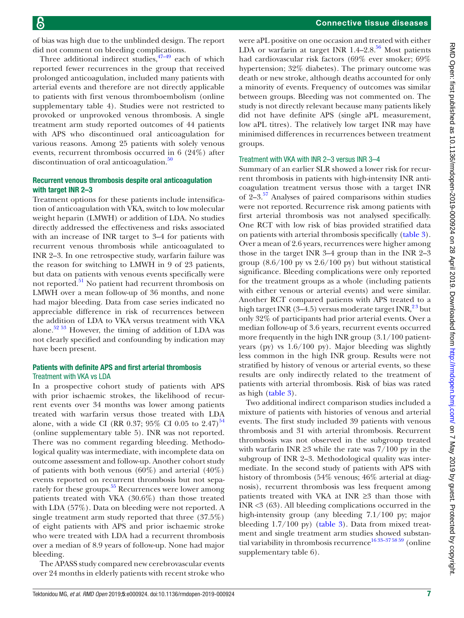of bias was high due to the unblinded design. The report did not comment on bleeding complications.

Three additional indirect studies,  $47-49$  each of which reported fewer recurrences in the group that received prolonged anticoagulation, included many patients with arterial events and therefore are not directly applicable to patients with first venous thromboembolism [\(online](https://dx.doi.org/10.1136/rmdopen-2019-000924) [supplementary table 4](https://dx.doi.org/10.1136/rmdopen-2019-000924)). Studies were not restricted to provoked or unprovoked venous thrombosis. A single treatment arm study reported outcomes of 44 patients with APS who discontinued oral anticoagulation for various reasons. Among 25 patients with solely venous events, recurrent thrombosis occurred in 6 (24%) after discontinuation of oral anticoagulation.<sup>[50](#page-15-17)</sup>

# Recurrent venous thrombosis despite oral anticoagulation with target INR 2–3

Treatment options for these patients include intensification of anticoagulation with VKA, switch to low molecular weight heparin (LMWH) or addition of LDA. No studies directly addressed the effectiveness and risks associated with an increase of INR target to 3–4 for patients with recurrent venous thrombosis while anticoagulated to INR 2–3. In one retrospective study, warfarin failure was the reason for switching to LMWH in 9 of 23 patients, but data on patients with venous events specifically were not reported.<sup>51</sup> No patient had recurrent thrombosis on LMWH over a mean follow-up of 36 months, and none had major bleeding. Data from case series indicated no appreciable difference in risk of recurrences between the addition of LDA to VKA versus treatment with VKA alone. $52\frac{53}{10}$  However, the timing of addition of LDA was not clearly specified and confounding by indication may have been present.

# Patients with definite APS and first arterial thrombosis Treatment with VKA vs LDA

In a prospective cohort study of patients with APS with prior ischaemic strokes, the likelihood of recurrent events over 34 months was lower among patients treated with warfarin versus those treated with LDA alone, with a wide CI (RR 0.37; 95% CI 0.05 to  $2.47$ )<sup>[54](#page-15-20)</sup> [\(online supplementary table 5\)](https://dx.doi.org/10.1136/rmdopen-2019-000924). INR was not reported. There was no comment regarding bleeding. Methodological quality was intermediate, with incomplete data on outcome assessment and follow-up. Another cohort study of patients with both venous  $(60\%)$  and arterial  $(40\%)$ events reported on recurrent thrombosis but not sepa-rately for these groups.<sup>[55](#page-15-21)</sup> Recurrences were lower among patients treated with VKA (30.6%) than those treated with LDA (57%). Data on bleeding were not reported. A single treatment arm study reported that three (37.5%) of eight patients with APS and prior ischaemic stroke who were treated with LDA had a recurrent thrombosis over a median of 8.9 years of follow-up. None had major bleeding.

The APASS study compared new cerebrovascular events over 24 months in elderly patients with recent stroke who

were aPL positive on one occasion and treated with either LDA or warfarin at target INR  $1.4-2.8^{56}$  $1.4-2.8^{56}$  $1.4-2.8^{56}$  Most patients had cardiovascular risk factors (69% ever smoker; 69% hypertension; 32% diabetes). The primary outcome was death or new stroke, although deaths accounted for only a minority of events. Frequency of outcomes was similar between groups. Bleeding was not commented on. The study is not directly relevant because many patients likely did not have definite APS (single aPL measurement, low aPL titres). The relatively low target INR may have minimised differences in recurrences between treatment groups.

### Treatment with VKA with INR 2–3 versus INR 3–4

Summary of an earlier SLR showed a lower risk for recurrent thrombosis in patients with high-intensity INR anticoagulation treatment versus those with a target INR of  $2-3$ .<sup>[57](#page-15-23)</sup> Analyses of paired comparisons within studies were not reported. Recurrence risk among patients with first arterial thrombosis was not analysed specifically. One RCT with low risk of bias provided stratified data on patients with arterial thrombosis specifically [\(table](#page-7-0) 3). Over a mean of 2.6 years, recurrences were higher among those in the target INR 3–4 group than in the INR 2–3 group  $(8.6/100 \text{ py vs } 2.6/100 \text{ py})$  but without statistical significance. Bleeding complications were only reported for the treatment groups as a whole (including patients with either venous or arterial events) and were similar. Another RCT compared patients with APS treated to a high target INR  $(3-4.5)$  versus moderate target INR,<sup>23</sup> but only 32% of participants had prior arterial events. Over a median follow-up of 3.6 years, recurrent events occurred more frequently in the high INR group (3.1/100 patientyears (py) vs 1.6/100 py). Major bleeding was slightly less common in the high INR group. Results were not stratified by history of venous or arterial events, so these results are only indirectly related to the treatment of patients with arterial thrombosis. Risk of bias was rated as high ([table](#page-7-0) 3).

Two additional indirect comparison studies included a mixture of patients with histories of venous and arterial events. The first study included 39 patients with venous thrombosis and 31 with arterial thrombosis. Recurrent thrombosis was not observed in the subgroup treated with warfarin INR  $\geq$ 3 while the rate was 7/100 py in the subgroup of INR 2–3. Methodological quality was intermediate. In the second study of patients with APS with history of thrombosis (54% venous; 46% arterial at diagnosis), recurrent thrombosis was less frequent among patients treated with VKA at INR ≥3 than those with INR <3 (63). All bleeding complications occurred in the high-intensity group (any bleeding 7.1/100 py; major bleeding  $1.7/100$  py) [\(table](#page-7-0) 3). Data from mixed treatment and single treatment arm studies showed substan-tial variability in thrombosis recurrence<sup>16 33-37 58 59</sup> [\(online](https://dx.doi.org/10.1136/rmdopen-2019-000924) [supplementary table 6](https://dx.doi.org/10.1136/rmdopen-2019-000924)).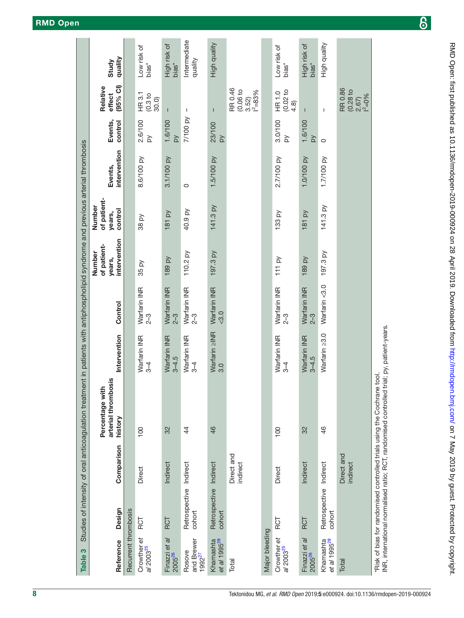<span id="page-7-0"></span>

| S<br><b>Table</b>                          |                                  |                        | Studies of intensity of oral anticoagulation treatment in patients with antiphospholipid syndrome and previous arterial thrombosis                                  |                           |                         |                                                 |                                            |                         |                     |                                                                  |                                  |
|--------------------------------------------|----------------------------------|------------------------|---------------------------------------------------------------------------------------------------------------------------------------------------------------------|---------------------------|-------------------------|-------------------------------------------------|--------------------------------------------|-------------------------|---------------------|------------------------------------------------------------------|----------------------------------|
| Reference                                  | Design                           | Comparison             | sis<br>Percentage with<br>arterial thrombo<br>history                                                                                                               | Intervention              | Control                 | intervention<br>of patient-<br>Number<br>years, | of patient-<br>Number<br>control<br>years, | intervention<br>Events, | Events,<br>control  | $(95%$ CI)<br>Relative<br>effect                                 | quality<br>Study                 |
| Recurrent thrombosis                       |                                  |                        |                                                                                                                                                                     |                           |                         |                                                 |                                            |                         |                     |                                                                  |                                  |
| Crowther et<br>al 2003 <sup>25</sup>       | RCT                              | Direct                 | 100                                                                                                                                                                 | Warfarin INR<br>$3-4$     | Warfarin INR<br>$2-3$   | 35 py                                           | 38 py                                      | 8.6/100 py              | 2.6/100<br>$\geq$   | HR 3.1<br>(0.3 to<br>30.0                                        | Low risk of<br>bias <sup>*</sup> |
| Finazzi et al<br>2005 <sup>26</sup>        | <b>RCT</b>                       | Indirect               | 32                                                                                                                                                                  | Warfarin INR<br>$3 - 4.5$ | Warfarin INR<br>$2 - 3$ | 189 py                                          | 181 py                                     | 3.1/100 py              | 1.6/100<br>$\delta$ | Т                                                                | High risk of<br>$bias*$          |
| and Brewer<br>1992 <sup>27</sup><br>Rosove | Retrospective Indirect<br>cohort |                        | $\overline{4}$                                                                                                                                                      | Warfarin INR<br>$3-4$     | Warfarin INR<br>$2-3$   | 110.2 py                                        | 40.9 py                                    | $\circ$                 | 7/100 py            | T                                                                | Intermediate<br>quality          |
| Khamashta<br>et al 1995 <sup>28</sup>      | Retrospective Indirect<br>cohort |                        | 46                                                                                                                                                                  | Warfarin 2INR<br>3.0      | Warfarin INR<br>&0.65   | 197.3 py                                        | 141.3 py                                   | 1.5/100 py              | 23/100<br>$\delta$  | $\mathsf{I}$                                                     | High quality                     |
| Total                                      |                                  | Direct and<br>indirect |                                                                                                                                                                     |                           |                         |                                                 |                                            |                         |                     | RR 0.46<br>$(0.06 \text{ to } 3.52)$<br>$(2 - 83)$<br>$(2 - 83)$ |                                  |
| Major bleeding                             |                                  |                        |                                                                                                                                                                     |                           |                         |                                                 |                                            |                         |                     |                                                                  |                                  |
| Crowther et<br>al 2003 <sup>25</sup>       | RCT                              | Direct                 | $\overline{100}$                                                                                                                                                    | Warfarin INR<br>$3-4$     | Warfarin INR<br>$2-3$   | $111$ py                                        | 133 py                                     | 2.7/100 py              | 3.0/100<br>δ        | (0.02)<br>HR 1.0<br>4.8                                          | Low risk of<br>bias <sup>*</sup> |
| Finazzi et al<br>2005 <sup>26</sup>        | RCT                              | Indirect               | 32                                                                                                                                                                  | Warfarin INR<br>$3 - 4.5$ | Warfarin INR<br>$2 - 3$ | 189 py                                          | 181 py                                     | 1.0/100 py              | 1.6/100<br>$\delta$ | 1                                                                | High risk of<br>$bias*$          |
| Khamashta<br>et al 1995 <sup>28</sup>      | Retrospective Indirect<br>cohort |                        | 46                                                                                                                                                                  | Warfarin ≥3.0             | Warfarin <3.0           | 197.3 py                                        | 141.3 py                                   | 1.7/100 py              | $\circ$             | $\mathbf{I}$                                                     | High quality                     |
| Total                                      |                                  | Direct and<br>indirect |                                                                                                                                                                     |                           |                         |                                                 |                                            |                         |                     | RR 0.86<br>$(0.28)$ to<br>$2.67$<br>$\frac{2.67}{2.0\%}$         |                                  |
|                                            |                                  |                        | INR, international normalised ratio; RCT, randomised controlled trial; py, patient-years.<br>"Risk of bias for randomised controlled trials using the Cochrane tool |                           |                         |                                                 |                                            |                         |                     |                                                                  |                                  |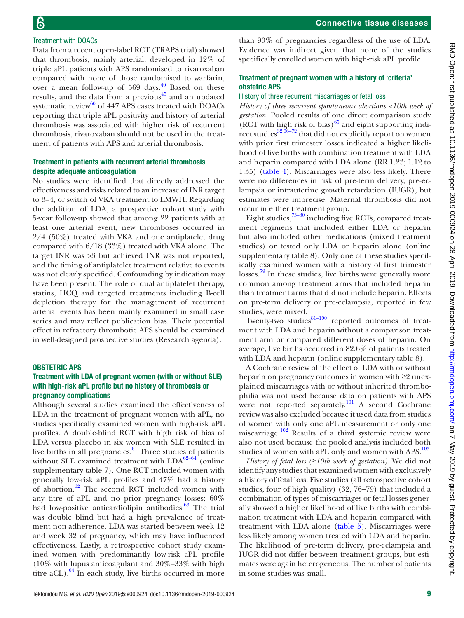# Treatment with DOACs

Data from a recent open-label RCT (TRAPS trial) showed that thrombosis, mainly arterial, developed in 12% of triple aPL patients with APS randomised to rivaroxaban compared with none of those randomised to warfarin, over a mean follow-up of  $569$  days.<sup>40</sup> Based on these results, and the data from a previous $45$  and an updated systematic review $^{60}$  of 447 APS cases treated with DOACs reporting that triple aPL positivity and history of arterial thrombosis was associated with higher risk of recurrent thrombosis, rivaroxaban should not be used in the treatment of patients with APS and arterial thrombosis.

# Treatment in patients with recurrent arterial thrombosis despite adequate anticoagulation

No studies were identified that directly addressed the effectiveness and risks related to an increase of INR target to 3–4, or switch of VKA treatment to LMWH. Regarding the addition of LDA, a prospective cohort study with 5-year follow-up showed that among 22 patients with at least one arterial event, new thromboses occurred in 2/4 (50%) treated with VKA and one antiplatelet drug compared with 6/18 (33%) treated with VKA alone. The target INR was >3 but achieved INR was not reported, and the timing of antiplatelet treatment relative to events was not clearly specified. Confounding by indication may have been present. The role of dual antiplatelet therapy, statins, HCQ and targeted treatments including B-cell depletion therapy for the management of recurrent arterial events has been mainly examined in small case series and may reflect publication bias. Their potential effect in refractory thrombotic APS should be examined in well-designed prospective studies (Research agenda).

#### OBSTETRIC APS

## Treatment with LDA of pregnant women (with or without SLE) with high-risk aPL profile but no history of thrombosis or pregnancy complications

Although several studies examined the effectiveness of LDA in the treatment of pregnant women with aPL, no studies specifically examined women with high-risk aPL profiles. A double-blind RCT with high risk of bias of LDA versus placebo in six women with SLE resulted in live births in all pregnancies. $61$  Three studies of patients without SLE examined treatment with  $LDA^{62-64}$  [\(online](https://dx.doi.org/10.1136/rmdopen-2019-000924) [supplementary table 7](https://dx.doi.org/10.1136/rmdopen-2019-000924)). One RCT included women with generally low-risk aPL profiles and 47% had a history of abortion. $62$  The second RCT included women with any titre of aPL and no prior pregnancy losses; 60% had low-positive anticardiolipin antibodies.<sup>63</sup> The trial was double blind but had a high prevalence of treatment non-adherence. LDA was started between week 12 and week 32 of pregnancy, which may have influenced effectiveness. Lastly, a retrospective cohort study examined women with predominantly low-risk aPL profile (10% with lupus anticoagulant and 30%–33% with high titre  $aCL$ ).<sup>[64](#page-16-3)</sup> In each study, live births occurred in more

than 90% of pregnancies regardless of the use of LDA. Evidence was indirect given that none of the studies specifically enrolled women with high-risk aPL profile.

# Treatment of pregnant women with a history of 'criteria' obstetric APS

#### History of three recurrent miscarriages or fetal loss

*History of three recurrent spontaneous abortions <10th week of gestation*. Pooled results of one direct comparison study (RCT with high risk of bias) $^{65}$  and eight supporting indirect studies $32\frac{66-72}{6}$  that did not explicitly report on women with prior first trimester losses indicated a higher likelihood of live births with combination treatment with LDA and heparin compared with LDA alone (RR 1.23; 1.12 to 1.35) [\(table](#page-9-0) 4). Miscarriages were also less likely. There were no differences in risk of pre-term delivery, pre-eclampsia or intrauterine growth retardation (IUGR), but estimates were imprecise. Maternal thrombosis did not occur in either treatment group.

Eight studies[,73–80](#page-16-5) including five RCTs, compared treatment regimens that included either LDA or heparin but also included other medications (mixed treatment studies) or tested only LDA or heparin alone [\(online](https://dx.doi.org/10.1136/rmdopen-2019-000924) [supplementary table 8\)](https://dx.doi.org/10.1136/rmdopen-2019-000924). Only one of these studies specifically examined women with a history of first trimester losses.<sup>79</sup> In these studies, live births were generally more common among treatment arms that included heparin than treatment arms that did not include heparin. Effects on pre-term delivery or pre-eclampsia, reported in few studies, were mixed.

Twenty-two studies $81-100$  reported outcomes of treatment with LDA and heparin without a comparison treatment arm or compared different doses of heparin. On average, live births occurred in 82.6% of patients treated with LDA and heparin [\(online supplementary table 8\)](https://dx.doi.org/10.1136/rmdopen-2019-000924).

A Cochrane review of the effect of LDA with or without heparin on pregnancy outcomes in women with ≥2 unexplained miscarriages with or without inherited thrombophilia was not used because data on patients with APS were not reported separately.<sup>101</sup> A second Cochrane review was also excluded because it used data from studies of women with only one aPL measurement or only one miscarriage.<sup>[102](#page-16-9)</sup> Results of a third systemic review were also not used because the pooled analysis included both studies of women with aPL only and women with APS.<sup>103</sup>

*History of fetal loss (*≥*10th week of gestation)*. We did not identify any studies that examined women with exclusively a history of fetal loss. Five studies (all retrospective cohort studies, four of high quality) (32, 76–79) that included a combination of types of miscarriages or fetal losses generally showed a higher likelihood of live births with combination treatment with LDA and heparin compared with treatment with LDA alone [\(table](#page-11-0) 5). Miscarriages were less likely among women treated with LDA and heparin. The likelihood of pre-term delivery, pre-eclampsia and IUGR did not differ between treatment groups, but estimates were again heterogeneous. The number of patients in some studies was small.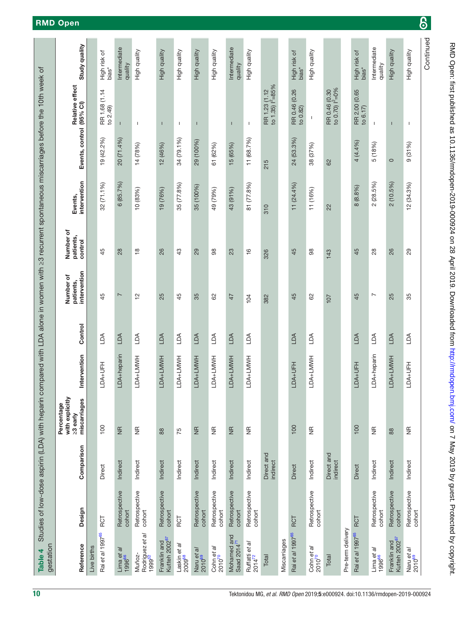<span id="page-9-0"></span>

| gestation<br>Table 4                                  |                         |                        | Studies of low-dose aspirin (LDA) with heparin compared with LDA alone in women with ≥3 recurrent spontaneous miscarriages before the 10th week of |             |                 |                                        |                                   |                         |                          |                                        |                                   |
|-------------------------------------------------------|-------------------------|------------------------|----------------------------------------------------------------------------------------------------------------------------------------------------|-------------|-----------------|----------------------------------------|-----------------------------------|-------------------------|--------------------------|----------------------------------------|-----------------------------------|
| Reference                                             | Design                  | Comparison             | with explicitly<br>miscarriages<br>Percentage<br>≥3 early                                                                                          | ntervention | Control         | intervention<br>Number of<br>patients, | Number of<br>patients,<br>control | intervention<br>Events, | Events, control (95% CI) | Relative effect                        | Study quality                     |
| Live births                                           |                         |                        |                                                                                                                                                    |             |                 |                                        |                                   |                         |                          |                                        |                                   |
| Rai et al 1997 <sup>65</sup>                          | RCT                     | Direct                 | 100                                                                                                                                                | LDA+UFH     | Αđ              | 45                                     | 45                                | 32 (71.1%)              | 19 (42.2%)               | RR 1.68 (1.14<br>to 2.49)              | High risk of<br>bias*             |
| Lima et al<br>1996 <sup>66</sup>                      | Retrospective<br>cohort | Indirect               | $\frac{R}{Z}$                                                                                                                                      | LDA+heparin | <b>ACLI</b>     | $\overline{ }$                         | 28                                | 6(85.7%)                | 20 (71.4%)               | $\mathbf{I}$                           | Intermediate<br>quality           |
| ಕ<br>đ<br>Rodriguez e<br>1999 <sup>32</sup><br>Muñoz- | Retrospective<br>cohort | Indirect               | $\frac{\mathbb{E}}{\mathbb{E}}$                                                                                                                    | LDA+LMWH    | Рd              | $\frac{1}{2}$                          | $\frac{8}{1}$                     | 10(83%)                 | 14 (78%)                 | $\mathbf{I}$                           | High quality                      |
| Kutteh 2002 <sup>67</sup><br>Franklin and             | Retrospective<br>cohort | Indirect               | 88                                                                                                                                                 | LDA+LMWH    | <b>ACT</b>      | 25                                     | 26                                | 19 (76%)                | 12 (46%)                 | $\mathbf{I}$                           | High quality                      |
| Laskin et al<br><b>2009<sup>68</sup></b>              | RCT                     | Indirect               | 75                                                                                                                                                 | LDA+LMWH    | $\overline{PQ}$ | 45                                     | 43                                | 35 (77.8%)              | 34 (79.1%)               | $\mathbf{I}$                           | High quality                      |
| Naru et al<br>2010 <sup>69</sup>                      | Retrospective<br>cohort | Indirect               | $\frac{\mathsf{p}}{\mathsf{p}}$                                                                                                                    | LDA+LMWH    | <b>ACLI</b>     | 35                                     | 29                                | 35 (100%)               | 29 (100%)                | Т                                      | High quality                      |
| Cohn et al<br>2010 <sup>70</sup>                      | Retrospective<br>cohort | Indirect               | $\frac{\pi}{2}$                                                                                                                                    | LDA+LMWH    | Рd              | 8                                      | 88                                | 49 (79%)                | 61 (62%)                 |                                        | High quality                      |
| Mohamed and<br>Saad 2014 <sup>71</sup>                | Retrospective<br>cohort | Indirect               | $\frac{1}{2}$                                                                                                                                      | LDA+LMWH    | ACT             | 47                                     | 23                                | 43 (91%)                | 15 (65%)                 | $\mathbf{I}$                           | Intermediate<br>quality           |
| Ruffatti et al<br>2014 <sup>72</sup>                  | Retrospective<br>cohort | Indirect               | $\frac{\pi}{2}$                                                                                                                                    | LDA+LMWH    | Рd              | 104                                    | $\frac{6}{1}$                     | 81 (77.8%)              | 11 (68.7%)               | $\mathbf{I}$                           | High quality                      |
| Total                                                 |                         | Direct and<br>indirect |                                                                                                                                                    |             |                 | 382                                    | 326                               | 310                     | 215                      | to 1.35) $I^2 = 85\%$<br>RR 1.23 (1.12 |                                   |
| Miscarriages                                          |                         |                        |                                                                                                                                                    |             |                 |                                        |                                   |                         |                          |                                        |                                   |
| Rai et al 1997 <sup>65</sup>                          | <b>RCT</b>              | Direct                 | 100                                                                                                                                                | LDA+UFH     | ACLI            | 45                                     | 45                                | $11(24.4\%)$            | 24 (53.3%)               | RR 0.46 (0.26<br>to 0.82)              | High risk of<br>bias <sup>*</sup> |
| Cohn et al<br>2010 <sup>70</sup>                      | Retrospective<br>cohort | Indirect               | $\frac{1}{2}$                                                                                                                                      | LDA+LMWH    | $\overline{5}$  | 8                                      | 86                                | 11 (16%)                | 38 (37%)                 | $\overline{1}$                         | High quality                      |
| Total                                                 |                         | Direct and<br>indirect |                                                                                                                                                    |             |                 | 107                                    | 143                               | 22                      | 62                       | RR 0.46 (0.30<br>to 0.70) $I^2=0\%$    |                                   |
| Pre-term delivery                                     |                         |                        |                                                                                                                                                    |             |                 |                                        |                                   |                         |                          |                                        |                                   |
| Rai et al 1997 <sup>65</sup>                          | <b>RCT</b>              | <b>Direct</b>          | 100                                                                                                                                                | LDA+UFH     | ACLI            | 45                                     | 45                                | 8(8.8%)                 | 4 (4.4%)                 | RR 2.00 (0.65<br>to 6.17               | High risk of<br>bias <sup>*</sup> |
| Lima et al<br>1996 <sup>66</sup>                      | Retrospective<br>cohort | Indirect               | £                                                                                                                                                  | LDA+heparin | ГUУ             | $\overline{ }$                         | $^{8}$                            | 2(28.5%)                | 5 (18%)                  | $\mathbf{I}$                           | Intermediate<br>quality           |
| Kutteh 2002 <sup>67</sup><br>Franklin and             | Retrospective<br>cohort | Indirect               | 88                                                                                                                                                 | LDA+LMWH    | <b>ACLI</b>     | 25                                     | 82                                | 2(10.5%)                | $\circ$                  |                                        | High quality                      |
| Naru et al<br>2010 <sup>69</sup>                      | Retrospective<br>cohort | Indirect               | $\frac{\pi}{2}$                                                                                                                                    | DA+UFH      | Рd              | 35                                     | 29                                | 12(34.3%)               | 9(31%)                   | -1                                     | High quality                      |
|                                                       |                         |                        |                                                                                                                                                    |             |                 |                                        |                                   |                         |                          |                                        | Continued                         |

 $\overline{6}$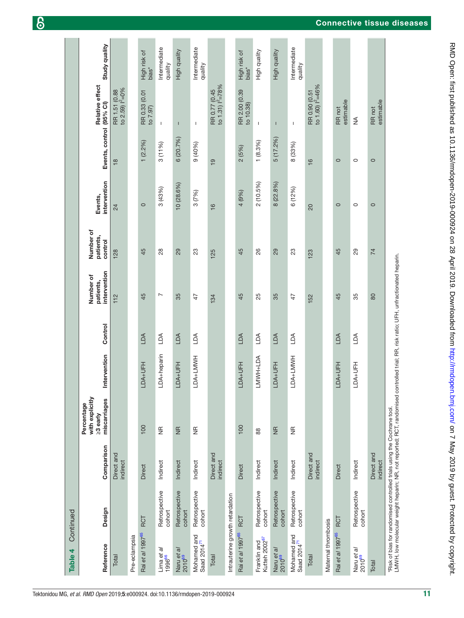| Table 4                                   | Continued                                                               |                        |                                                                                                                                      |              |                |                                        |                                   |                         |                          |                                        |                                   |
|-------------------------------------------|-------------------------------------------------------------------------|------------------------|--------------------------------------------------------------------------------------------------------------------------------------|--------------|----------------|----------------------------------------|-----------------------------------|-------------------------|--------------------------|----------------------------------------|-----------------------------------|
| Reference                                 | Design                                                                  | Comparison             | with explicitly<br>miscarriages<br>Percentage<br>≥3 early                                                                            | Intervention | Control        | intervention<br>Number of<br>patients, | Number of<br>patients,<br>control | intervention<br>Events, | Events, control (95% CI) | Relative effect                        | Study quality                     |
| Total                                     |                                                                         | Direct and<br>indirect |                                                                                                                                      |              |                | 112                                    | 128                               | 24                      | $\frac{8}{18}$           | to 2.59) $1^2 = 0\%$<br>RR 1.51 (0.88  |                                   |
| Pre-eclampsia                             |                                                                         |                        |                                                                                                                                      |              |                |                                        |                                   |                         |                          |                                        |                                   |
| Rai et al 1997 <sup>65</sup>              | <b>RCT</b>                                                              | Direct                 | 100                                                                                                                                  | LDA+UFH      | ACLI           | 45                                     | 45                                | $\circ$                 | 1 (2.2%)                 | RR 0.33 (0.01<br>to 7.97)              | High risk of<br>bias <sup>*</sup> |
| Lima et al<br>1996 <sup>66</sup>          | Retrospective<br>cohort                                                 | Indirect               | $\frac{\alpha}{2}$                                                                                                                   | LDA+heparin  | Рd             | $\overline{ }$                         | $^{28}$                           | 3(43%)                  | 3(11%)                   | $\mathbf{I}$                           | Intermediate<br>quality           |
| Naru et al<br>2010 <sup>69</sup>          | Retrospective<br>cohort                                                 | Indirect               | $\frac{\mathsf{p}}{\mathsf{p}}$                                                                                                      | LDA+UFH      | <b>Adl</b>     | 35                                     | 29                                | $10(28.6\%)$            | 6 (20.7%)                | $\mathsf{I}$                           | High quality                      |
| Mohamed and<br>Saad 2014 <sup>71</sup>    | Retrospective<br>cohort                                                 | Indirect               | $\frac{\pi}{2}$                                                                                                                      | LDA+LMWH     | Рd             | 47                                     | 23                                | 3(7%)                   | 9(40%)                   | $\mathbf{I}$                           | Intermediate<br>quality           |
| Total                                     |                                                                         | Direct and<br>indirect |                                                                                                                                      |              |                | 134                                    | 125                               | $\frac{6}{5}$           | $\frac{1}{2}$            | to 1.31) $I^2 = 78\%$<br>RR 0.77 (0.45 |                                   |
| Intrauterine growth retardation           |                                                                         |                        |                                                                                                                                      |              |                |                                        |                                   |                         |                          |                                        |                                   |
| Rai et al 1997 <sup>65</sup>              | RCT                                                                     | Direct                 | 100                                                                                                                                  | LDA+UFH      | ACLI           | 45                                     | 45                                | 4 (9%)                  | 2(5%)                    | RR 2.00 (0.39<br>to 10.38)             | High risk of<br>bias <sup>*</sup> |
| Franklin and<br>Kutteh 2002 <sup>67</sup> | Retrospective<br>cohort                                                 | Indirect               | $88$                                                                                                                                 | LMWH+LDA     | Рd             | 25                                     | 26                                | 2(10.5%)                | $1(8.3\%)$               | J.                                     | High quality                      |
| Naru et al<br>2010 <sup>69</sup>          | Retrospective<br>cohort                                                 | Indirect               | $rac{1}{2}$                                                                                                                          | LDA+UFH      | <b>ACLI</b>    | 35                                     | 29                                | 8 (22.8%)               | 5 (17.2%)                | T                                      | High quality                      |
| Mohamed and<br>Saad 2014 <sup>71</sup>    | Retrospective<br>cohort                                                 | Indirect               | $\frac{\pi}{2}$                                                                                                                      | LDA+LMWH     | $\overline{P}$ | 47                                     | $\mathbb{S}^2$                    | 6(12%)                  | 8 (33%)                  | L                                      | Intermediate<br>quality           |
| Total                                     |                                                                         | Direct and<br>indirect |                                                                                                                                      |              |                | 152                                    | 123                               | $\overline{0}$          | $\frac{6}{1}$            | to 1.60) $1^2 = 46\%$<br>RR 0.90 (0.51 |                                   |
| Maternal thrombosis                       |                                                                         |                        |                                                                                                                                      |              |                |                                        |                                   |                         |                          |                                        |                                   |
| Rai et al 1997 <sup>65</sup>              | <b>RCT</b>                                                              | Direct                 |                                                                                                                                      | LDA+UFH      | <b>ACLI</b>    | 45                                     | 45                                | $\circ$                 | $\circ$                  | estimable<br>RR <sub>not</sub>         |                                   |
| Naru et al<br>2010 <sup>69</sup>          | Retrospective<br>cohort                                                 | Indirect               |                                                                                                                                      | LDA+UFH      | $\Delta$       | 35                                     | 29                                | $\circ$                 | $\circ$                  | $\frac{1}{2}$                          |                                   |
| Total                                     |                                                                         | Direct and<br>indirect |                                                                                                                                      |              |                | 80                                     | 74                                | $\circ$                 | $\circ$                  | estimable<br>RR <sub>not</sub>         |                                   |
|                                           | "Risk of bias for randomised controlled trials using the Cochrane tool. |                        | LMWH, low molecular weight heparin; NR, not reported; RCT, randomised controlled trial; RR, risk ratio; UFH, unfractionated heparin. |              |                |                                        |                                   |                         |                          |                                        |                                   |

 $\mathbf{g}$ 

# Connective tissue diseases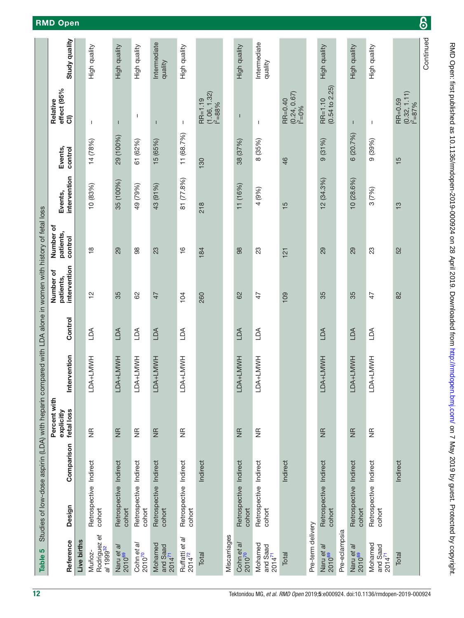| Table 5                                            |                                  |            |                                                    | Studies of low-dose aspirin (LDA) with heparin compared with LDA alone in women with history of fetal loss |                         |                                        |                                   |                         |                    |                                               |                         |
|----------------------------------------------------|----------------------------------|------------|----------------------------------------------------|------------------------------------------------------------------------------------------------------------|-------------------------|----------------------------------------|-----------------------------------|-------------------------|--------------------|-----------------------------------------------|-------------------------|
| Reference                                          | Design                           | Comparison | Percent with<br>fetal loss<br>explicitly           | Intervention                                                                                               | Control                 | intervention<br>Number of<br>patients, | Number of<br>patients,<br>control | intervention<br>Events, | control<br>Events, | effect (95%<br>Relative<br>$\widehat{\sigma}$ | Study quality           |
| Live births                                        |                                  |            |                                                    |                                                                                                            |                         |                                        |                                   |                         |                    |                                               |                         |
| et<br>Rodriguez<br>al 1999 <sup>32</sup><br>Muñoz- | Retrospective Indirect<br>cohort |            | $\widetilde{\Xi}$                                  | LDA+LMWH                                                                                                   | $\Delta$                | 으                                      | $\frac{\infty}{\tau}$             | 10 (83%)                | 14 (78%)           | $\overline{1}$                                | High quality            |
| Naru et al<br>2010 <sup>69</sup>                   | Retrospective Indirect<br>cohort |            | $\mathop{\mathsf{E}}\limits_{\mathop{\mathsf{Z}}}$ | LDA+LMWH                                                                                                   | LDA                     | 35                                     | 29                                | 35 (100%)               | 29 (100%)          | $\mathbf{I}$                                  | High quality            |
| Cohn et al<br>2010 <sup>70</sup>                   | Retrospective Indirect<br>cohort |            | $\widetilde{\Xi}$                                  | HMMH<br>ζC                                                                                                 | $\overline{PQ}$         | 62                                     | 88                                | 49 (79%)                | 61 (62%)           | $\mathbf{I}$                                  | High quality            |
| Mohamed<br>and Saad<br>$2014^{71}$                 | Retrospective Indirect<br>cohort |            | $\frac{\mathsf{p}}{\mathsf{p}}$                    | HMMH<br>Jα                                                                                                 | LDA                     | 47                                     | 23                                | 43 (91%)                | 15 (65%)           | $\mathbf{I}$                                  | Intermediate<br>quality |
| Ruffatti et al<br>$2014^{72}$                      | Retrospective Indirect<br>cohort |            | $\frac{1}{2}$                                      | LDA+LMWH                                                                                                   | $\overline{\mathbb{A}}$ | 104                                    | $\frac{6}{1}$                     | 81 (77.8%)              | 11 (68.7%)         | $\mathbf{I}$                                  | High quality            |
| Total                                              |                                  | Indirect   |                                                    |                                                                                                            |                         | 260                                    | 184                               | 218                     | 130                | $(1.06, 1.32)$<br>$f^2 = 88\%$<br>$RR = 1.19$ |                         |
| Miscarriages                                       |                                  |            |                                                    |                                                                                                            |                         |                                        |                                   |                         |                    |                                               |                         |
| Cohn et al<br>2010 <sup>70</sup>                   | Retrospective Indirect<br>cohort |            | $rac{\pi}{2}$                                      | HMMH+Y<br>JΩ                                                                                               | $\overline{PQ}$         | 62                                     | 86                                | 11 (16%)                | 38 (37%)           | $\overline{\phantom{a}}$                      | High quality            |
| Mohamed<br>and Saad<br>$201471$                    | Retrospective Indirect<br>cohort |            | $\frac{\mathbb{C}}{\mathbb{Z}}$                    | LDA+LMWH                                                                                                   | $\Delta$                | 47                                     | 23                                | 4 (9%)                  | 8 (35%)            | $\mathbf{I}$                                  | Intermediate<br>quality |
| Total                                              |                                  | Indirect   |                                                    |                                                                                                            |                         | 109                                    | 121                               | $\frac{15}{1}$          | 46                 | $(0.24, 0.67)$<br>$\binom{2}{1}$<br>RR=0.40   |                         |
| Pre-term delivery                                  |                                  |            |                                                    |                                                                                                            |                         |                                        |                                   |                         |                    |                                               |                         |
| Naru et al<br>2010 <sup>69</sup>                   | Retrospective Indirect<br>cohort |            | $\frac{1}{2}$                                      | HMMHY<br>ğ                                                                                                 | LDA                     | 35                                     | 29                                | 12(34.3%)               | 9(31%)             | $(0.54 \text{ to } 2.25)$<br>$RR = 1.10$      | High quality            |
| Pre-eclampsia                                      |                                  |            |                                                    |                                                                                                            |                         |                                        |                                   |                         |                    |                                               |                         |
| Naru et al<br>2010 <sup>69</sup>                   | Retrospective Indirect<br>cohort |            | $\frac{1}{2}$                                      | LDA+LMWH                                                                                                   | $\overline{PQ}$         | 35                                     | 82                                | 10 (28.6%)              | 6(20.7%)           | $\mathbf{I}$                                  | High quality            |
| Mohamed<br>and Saad<br>$2014^{71}$                 | Retrospective Indirect<br>cohort |            | $\frac{\alpha}{2}$                                 | LDA+LMWH                                                                                                   | $\overline{5}$          | 47                                     | 23                                | 3(7%)                   | 9(39%)             | $\mathbf{I}$                                  | High quality            |
| Total                                              |                                  | Indirect   |                                                    |                                                                                                            |                         | 82                                     | 52                                | $\frac{3}{2}$           | $\frac{5}{1}$      | $(0.32, 1.11)$<br>$\beta = 87\%$<br>RR=0.59   |                         |
|                                                    |                                  |            |                                                    |                                                                                                            |                         |                                        |                                   |                         |                    |                                               | Continued               |

 $\overline{6}$ 

<span id="page-11-0"></span>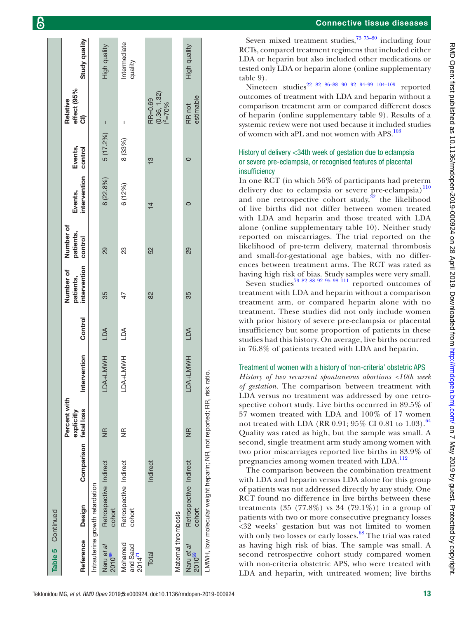| Table 5 Continued                  |                                                                       |                       |                            |              |         |                                        |                                   |                         |                    |                                                |                         |
|------------------------------------|-----------------------------------------------------------------------|-----------------------|----------------------------|--------------|---------|----------------------------------------|-----------------------------------|-------------------------|--------------------|------------------------------------------------|-------------------------|
| Reference                          | Design                                                                | Comparison fetal loss | Percent with<br>explicitly | Intervention | Control | intervention<br>Number of<br>patients, | Number of<br>patients,<br>control | intervention<br>Events, | Events,<br>control | effect (95%<br>Relative<br>ີ້ຈ                 | Study quality           |
|                                    | Intrauterine growth retardation                                       |                       |                            |              |         |                                        |                                   |                         |                    |                                                |                         |
| Naru et al<br>201069               | Retrospective Indirect<br>cohort                                      |                       | $\frac{1}{2}$              | LDA+LMWH     | LDA     | 35                                     | 88                                | 8 (22.8%)               | 5 (17.2%)          | $\mathsf{I}$                                   | High quality            |
| Mohamed<br>and Saad<br>$2014^{71}$ | Retrospective Indirect<br>cohort                                      |                       | $\frac{\alpha}{2}$         | LDA+LMWH     | LDA     | 47                                     | 23                                | 6(12%)                  | 8 (33%)            | I                                              | Intermediate<br>quality |
| Total                              |                                                                       | Indirect              |                            |              |         | 82                                     | 52                                | $\overline{4}$          | $\frac{1}{2}$      | $(0.36, 1.32)$<br>$\lvert^2 = 70\%$<br>RR=0.69 |                         |
| Maternal thrombosis                |                                                                       |                       |                            |              |         |                                        |                                   |                         |                    |                                                |                         |
| Naru et al<br>201069               | Retrospective Indirect<br>cohort                                      |                       | $\frac{\alpha}{2}$         | LDA+LMWH     | LDA     | 35                                     | 88                                | 0                       | 0                  | estimable<br>RR not                            | High quality            |
|                                    | LMWH, low molecular weight heparin; NR, not reported; RR, risk ratio. |                       |                            |              |         |                                        |                                   |                         |                    |                                                |                         |

Seven mixed treatment studies, $^{73}$   $^{75-80}$  including four RCTs, compared treatment regimens that included either LDA or heparin but also included other medications or tested only LDA or heparin alone ([online supplementary](https://dx.doi.org/10.1136/rmdopen-2019-000924) [table 9](https://dx.doi.org/10.1136/rmdopen-2019-000924)).

Nineteen studies<sup>22 82 86–88 90 92 94–99 104–109</sup> reported outcomes of treatment with LDA and heparin without a comparison treatment arm or compared different doses of heparin [\(online supplementary table 9\)](https://dx.doi.org/10.1136/rmdopen-2019-000924). Results of a systemic review were not used because it included studies of women with aPL and not women with APS.<sup>[103](#page-16-10)</sup>

# History of delivery <34th week of gestation due to eclampsia or severe pre-eclampsia, or recognised features of placental insufficiency

In one RCT (in which 56% of participants had preterm delivery due to eclampsia or severe pre-eclampsia) $110$ and one retrospective cohort study, $32$  the likelihood of live births did not differ between women treated with LDA and heparin and those treated with LDA alone [\(online supplementary table 10](https://dx.doi.org/10.1136/rmdopen-2019-000924)). Neither study reported on miscarriages. The trial reported on the likelihood of pre-term delivery, maternal thrombosis and small-for-gestational age babies, with no differences between treatment arms. The RCT was rated as having high risk of bias. Study samples were very small.

Seven studies<sup>[79 82 88 92 95 98 111](#page-16-6)</sup> reported outcomes of treatment with LDA and heparin without a comparison treatment arm, or compared heparin alone with no treatment. These studies did not only include women with prior history of severe pre-eclampsia or placental insufficiency but some proportion of patients in these studies had this history. On average, live births occurred in 76.8% of patients treated with LDA and heparin.

# Treatment of women with a history of 'non-criteria' obstetric APS

*History of two recurrent spontaneous abortions <10th week of gestation*. The comparison between treatment with LDA versus no treatment was addressed by one retrospective cohort study. Live births occurred in 89.5% of 57 women treated with LDA and 100% of 17 women not treated with LDA (RR 0.91; 95% CI 0.81 to 1.03).<sup>[64](#page-16-3)</sup> Quality was rated as high, but the sample was small. A second, single treatment arm study among women with two prior miscarriages reported live births in 83.9% of pregnancies among women treated with LDA.<sup>[112](#page-17-1)</sup>

The comparison between the combination treatment with LDA and heparin versus LDA alone for this group of patients was not addressed directly by any study. One RCT found no difference in live births between these treatments (35 (77.8%) vs 34 (79.1%)) in a group of patients with two or more consecutive pregnancy losses <32 weeks' gestation but was not limited to women with only two losses or early losses.<sup>68</sup> The trial was rated as having high risk of bias. The sample was small. A second retrospective cohort study compared women with non-criteria obstetric APS, who were treated with LDA and heparin, with untreated women; live births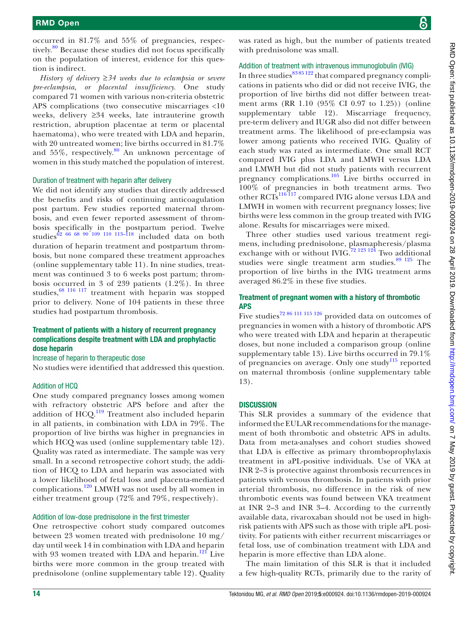# RMD Open

occurred in 81.7% and 55% of pregnancies, respectively. $80$  Because these studies did not focus specifically on the population of interest, evidence for this question is indirect.

*History of delivery* ≥*34 weeks due to eclampsia or severe pre-eclampsia, or placental insufficiency.* One study compared 71 women with various non-criteria obstetric APS complications (two consecutive miscarriages <10 weeks, delivery ≥34 weeks, late intrauterine growth restriction, abruption placentae at term or placental haematoma), who were treated with LDA and heparin, with 20 untreated women; live births occurred in 81.7% and  $55\%$ , respectively.<sup>[80](#page-16-18)</sup> An unknown percentage of women in this study matched the population of interest.

#### Duration of treatment with heparin after delivery

We did not identify any studies that directly addressed the benefits and risks of continuing anticoagulation post partum. Few studies reported maternal thrombosis, and even fewer reported assessment of thrombosis specifically in the postpartum period. Twelve studies<sup>62 66 68 90 109 110 113–118</sup> included data on both duration of heparin treatment and postpartum thrombosis, but none compared these treatment approaches ([online supplementary table 11](https://dx.doi.org/10.1136/rmdopen-2019-000924)). In nine studies, treatment was continued 3 to 6 weeks post partum; thrombosis occurred in 3 of 239 patients (1.2%). In three studies,<sup>[68 116 117](#page-16-13)</sup> treatment with heparin was stopped prior to delivery. None of 104 patients in these three studies had postpartum thrombosis.

# Treatment of patients with a history of recurrent pregnancy complications despite treatment with LDA and prophylactic dose heparin

Increase of heparin to therapeutic dose

No studies were identified that addressed this question.

# Addition of HCQ

One study compared pregnancy losses among women with refractory obstetric APS before and after the addition of  $HCO<sup>119</sup>$  Treatment also included heparin in all patients, in combination with LDA in 79%. The proportion of live births was higher in pregnancies in which HCQ was used ([online supplementary table 12](https://dx.doi.org/10.1136/rmdopen-2019-000924)). Quality was rated as intermediate. The sample was very small. In a second retrospective cohort study, the addition of HCQ to LDA and heparin was associated with a lower likelihood of fetal loss and placenta-mediated complications.[120](#page-17-3) LMWH was not used by all women in either treatment group (72% and 79%, respectively).

#### Addition of low-dose prednisolone in the first trimester

One retrospective cohort study compared outcomes between 23 women treated with prednisolone 10 mg/ day until week 14 in combination with LDA and heparin with 93 women treated with LDA and heparin.<sup>[121](#page-17-4)</sup> Live births were more common in the group treated with prednisolone ([online supplementary table 12\)](https://dx.doi.org/10.1136/rmdopen-2019-000924). Quality

was rated as high, but the number of patients treated with prednisolone was small.

# Addition of treatment with intravenous immunoglobulin (IVIG)

In three studies $8385122$  that compared pregnancy complications in patients who did or did not receive IVIG, the proportion of live births did not differ between treatment arms (RR 1.10 (95% CI 0.97 to 1.25)) [\(online](https://dx.doi.org/10.1136/rmdopen-2019-000924) [supplementary table 12\)](https://dx.doi.org/10.1136/rmdopen-2019-000924). Miscarriage frequency, pre-term delivery and IUGR also did not differ between treatment arms. The likelihood of pre-eclampsia was lower among patients who received IVIG. Quality of each study was rated as intermediate. One small RCT compared IVIG plus LDA and LMWH versus LDA and LMWH but did not study patients with recurrent pregnancy complications.[105](#page-16-20) Live births occurred in 100% of pregnancies in both treatment arms. Two other RCTs<sup>116 117</sup> compared IVIG alone versus LDA and LMWH in women with recurrent pregnancy losses; live births were less common in the group treated with IVIG alone. Results for miscarriages were mixed.

Three other studies used various treatment regimens, including prednisolone, plasmapheresis/plasma exchange with or without IVIG.<sup>72 123 124</sup> Two additional studies were single treatment arm studies. $89\frac{125}{125}$  The proportion of live births in the IVIG treatment arms averaged 86.2% in these five studies.

## Treatment of pregnant women with a history of thrombotic APS

Five studies<sup>72 86 111 115 126</sup> provided data on outcomes of pregnancies in women with a history of thrombotic APS who were treated with LDA and heparin at therapeutic doses, but none included a comparison group [\(online](https://dx.doi.org/10.1136/rmdopen-2019-000924) [supplementary table 13](https://dx.doi.org/10.1136/rmdopen-2019-000924)). Live births occurred in 79.1% of pregnancies on average. Only one study<sup>115</sup> reported on maternal thrombosis ([online supplementary table](https://dx.doi.org/10.1136/rmdopen-2019-000924) [13\)](https://dx.doi.org/10.1136/rmdopen-2019-000924).

# **DISCUSSION**

This SLR provides a summary of the evidence that informed the EULAR recommendations for the management of both thrombotic and obstetric APS in adults. Data from meta-analyses and cohort studies showed that LDA is effective as primary thromboprophylaxis treatment in aPL-positive individuals. Use of VKA at INR 2–3 is protective against thrombosis recurrences in patients with venous thrombosis. In patients with prior arterial thrombosis, no difference in the risk of new thrombotic events was found between VKA treatment at INR 2–3 and INR 3–4. According to the currently available data, rivaroxaban should not be used in highrisk patients with APS such as those with triple aPL positivity. For patients with either recurrent miscarriages or fetal loss, use of combination treatment with LDA and heparin is more effective than LDA alone.

The main limitation of this SLR is that it included a few high-quality RCTs, primarily due to the rarity of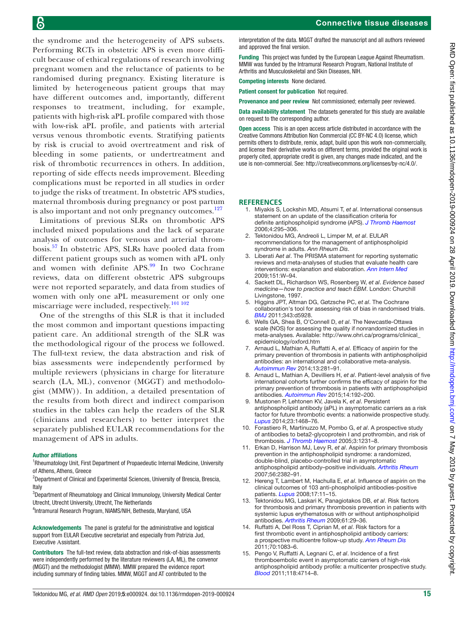Connective tissue diseases

the syndrome and the heterogeneity of APS subsets. Performing RCTs in obstetric APS is even more difficult because of ethical regulations of research involving pregnant women and the reluctance of patients to be randomised during pregnancy. Existing literature is limited by heterogeneous patient groups that may have different outcomes and, importantly, different responses to treatment, including, for example, patients with high-risk aPL profile compared with those with low-risk aPL profile, and patients with arterial versus venous thrombotic events. Stratifying patients by risk is crucial to avoid overtreatment and risk of bleeding in some patients, or undertreatment and risk of thrombotic recurrences in others. In addition, reporting of side effects needs improvement. Bleeding complications must be reported in all studies in order to judge the risks of treatment. In obstetric APS studies, maternal thrombosis during pregnancy or post partum is also important and not only pregnancy outcomes.<sup>[127](#page-17-7)</sup>

Limitations of previous SLRs on thrombotic APS included mixed populations and the lack of separate analysis of outcomes for venous and arterial thrombosis.[57](#page-15-23) In obstetric APS, SLRs have pooled data from different patient groups such as women with aPL only and women with definite  $APS.99$  $APS.99$  In two Cochrane reviews, data on different obstetric APS subgroups were not reported separately, and data from studies of women with only one aPL measurement or only one miscarriage were included, respectively.<sup>[101 102](#page-16-8)</sup>

One of the strengths of this SLR is that it included the most common and important questions impacting patient care. An additional strength of the SLR was the methodological rigour of the process we followed. The full-text review, the data abstraction and risk of bias assessments were independently performed by multiple reviewers (physicians in charge for literature search (LA, ML), convenor (MGGT) and methodologist (MMW)). In addition, a detailed presentation of the results from both direct and indirect comparison studies in the tables can help the readers of the SLR (clinicians and researchers) to better interpret the separately published EULAR recommendations for the management of APS in adults.

#### Author affiliations

<sup>1</sup>Rheumatology Unit, First Department of Propaedeutic Internal Medicine, University of Athens, Athens, Greece

<sup>2</sup>Department of Clinical and Experimental Sciences, University of Brescia, Brescia, Italy

<sup>3</sup>Department of Rheumatology and Clinical Immunology, University Medical Center Utrecht, Utrecht University, Utrecht, The Netherlands

4 Intramural Research Program, NIAMS/NIH, Bethesda, Maryland, USA

Acknowledgements The panel is grateful for the administrative and logistical support from EULAR Executive secretariat and especially from Patrizia Jud, Εxecutive Αssistant.

Contributors The full-text review, data abstraction and risk-of-bias assessments were independently performed by the literature reviewers (LA, ML), the convenor (MGGT) and the methodologist (MMW). MMW prepared the evidence report including summary of finding tables. MMW, MGGT and AT contributed to the

interpretation of the data. MGGT drafted the manuscript and all authors reviewed and approved the final version.

Funding This project was funded by the European League Against Rheumatism. MMW was funded by the Intramural Research Program, National Institute of Arthritis and Musculoskeletal and Skin Diseases, NIH.

Competing interests None declared.

Patient consent for publication Not required.

Provenance and peer review Not commissioned; externally peer reviewed.

Data availability statement The datasets generated for this study are available on request to the corresponding author.

Open access This is an open access article distributed in accordance with the Creative Commons Attribution Non Commercial (CC BY-NC 4.0) license, which permits others to distribute, remix, adapt, build upon this work non-commercially, and license their derivative works on different terms, provided the original work is properly cited, appropriate credit is given, any changes made indicated, and the use is non-commercial. See: <http://creativecommons.org/licenses/by-nc/4.0/>.

#### <span id="page-14-0"></span>**References**

- 1. Miyakis S, Lockshin MD, Atsumi T, *et al*. International consensus statement on an update of the classification criteria for definite antiphospholipid syndrome (APS). *[J Thromb Haemost](http://dx.doi.org/10.1111/j.1538-7836.2006.01753.x)* 2006;4:295–306.
- <span id="page-14-1"></span>2. Tektonidou MG, Andreoli L, Limper M, *et al*. EULAR recommendations for the management of antiphospholipid syndrome in adults. *Ann Rheum Dis*.
- <span id="page-14-2"></span>3. Liberati A*et al*. The PRISMA statement for reporting systematic reviews and meta-analyses of studies that evaluate health care interventions: explanation and elaboration. *[Ann Intern Med](http://dx.doi.org/10.7326/0003-4819-151-4-200908180-00136)* 2009;151:W–94.
- <span id="page-14-3"></span>4. Sackett DL, Richardson WS, Rosenberg W, *et al*. *Evidence based medicine—how to practice and teach EBM*. London: Churchill Livingstone, 1997.
- <span id="page-14-4"></span>5. Higgins JPT, Altman DG, Gøtzsche PC, *et al*. The Cochrane collaboration's tool for assessing risk of bias in randomised trials. *[BMJ](http://dx.doi.org/10.1136/bmj.d5928)* 2011;343:d5928.
- <span id="page-14-5"></span>6. Wells GA, Shea B, O'Connell D, *et al*. The Newcastle-Ottawa scale (NOS) for assessing the quality if nonrandomized studies in meta-analyses. Available: [http://www.ohri.ca/programs/clinical\\_](http://www.ohri.ca/programs/clinical_epidemiology/oxford.htm) [epidemiology/oxford.htm](http://www.ohri.ca/programs/clinical_epidemiology/oxford.htm)
- <span id="page-14-6"></span>7. Arnaud L, Mathian A, Ruffatti A, *et al*. Efficacy of aspirin for the primary prevention of thrombosis in patients with antiphospholipid antibodies: an international and collaborative meta-analysis. *[Autoimmun Rev](http://dx.doi.org/10.1016/j.autrev.2013.10.014)* 2014;13:281–91.
- <span id="page-14-7"></span>8. Arnaud L, Mathian A, Devilliers H, *et al*. Patient-level analysis of five international cohorts further confirms the efficacy of aspirin for the primary prevention of thrombosis in patients with antiphospholipid antibodies. *[Autoimmun Rev](http://dx.doi.org/10.1016/j.autrev.2014.10.019)* 2015;14:192–200.
- <span id="page-14-8"></span>9. Mustonen P, Lehtonen KV, Javela K, *et al*. Persistent antiphospholipid antibody (aPL) in asymptomatic carriers as a risk factor for future thrombotic events: a nationwide prospective study. *[Lupus](http://dx.doi.org/10.1177/0961203314545410)* 2014;23:1468–76.
- <span id="page-14-9"></span>10. Forastiero R, Martinuzzo M, Pombo G, *et al*. A prospective study of antibodies to beta2-glycoprotein I and prothrombin, and risk of thrombosis. *[J Thromb Haemost](http://dx.doi.org/10.1111/j.1538-7836.2005.01295.x)* 2005;3:1231–8.
- <span id="page-14-10"></span>11. Erkan D, Harrison MJ, Levy R, *et al*. Aspirin for primary thrombosis prevention in the antiphospholipid syndrome: a randomized, double-blind, placebo-controlled trial in asymptomatic antiphospholipid antibody–positive individuals. *[Arthritis Rheum](http://dx.doi.org/10.1002/art.22663)* 2007;56:2382–91.
- 12. Hereng T, Lambert M, Hachulla E, *et al*. Influence of aspirin on the clinical outcomes of 103 anti-phospholipid antibodies-positive patients. *[Lupus](http://dx.doi.org/10.1177/0961203307084724)* 2008;17:11–15.
- <span id="page-14-11"></span>13. Tektonidou MG, Laskari K, Panagiotakos DB, *et al*. Risk factors for thrombosis and primary thrombosis prevention in patients with systemic lupus erythematosus with or without antiphospholipid antibodies. *[Arthritis Rheum](http://dx.doi.org/10.1002/art.24232)* 2009;61:29–36.
- 14. Ruffatti A, Del Ross T, Ciprian M, *et al*. Risk factors for a first thrombotic event in antiphospholipid antibody carriers: a prospective multicentre follow-up study. *[Ann Rheum Dis](http://dx.doi.org/10.1136/ard.2010.142042)* 2011;70:1083–6.
- 15. Pengo V, Ruffatti A, Legnani C, *et al*. Incidence of a first thromboembolic event in asymptomatic carriers of high-risk antiphospholipid antibody profile: a multicenter prospective study. *[Blood](http://dx.doi.org/10.1182/blood-2011-03-340232)* 2011;118:4714–8.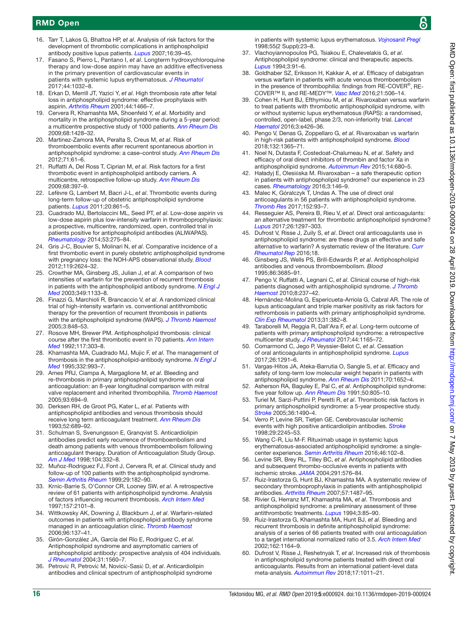# RMD Open

- <span id="page-15-1"></span>16. Tarr T, Lakos G, Bhattoa HP, *et al*. Analysis of risk factors for the development of thrombotic complications in antiphospholipid antibody positive lupus patients. *[Lupus](http://dx.doi.org/10.1177/0961203306074767)* 2007;16:39–45.
- <span id="page-15-0"></span>17. Fasano S, Pierro L, Pantano I, *et al*. Longterm hydroxychloroquine therapy and low-dose aspirin may have an additive effectiveness in the primary prevention of cardiovascular events in patients with systemic lupus erythematosus. *[J Rheumatol](http://dx.doi.org/10.3899/jrheum.161351)* 2017;44:1032–8.
- <span id="page-15-3"></span>18. Erkan D, Merrill JT, Yazici Y, *et al*. High thrombosis rate after fetal loss in antiphospholipid syndrome: effective prophylaxis with aspirin. *[Arthritis Rheum](http://dx.doi.org/10.1002/1529-0131(200106)44:6<1466::AID-ART242>3.0.CO;2-C)* 2001;44:1466–7.
- 19. Cervera R, Khamashta MA, Shoenfeld Y, *et al*. Morbidity and mortality in the antiphospholipid syndrome during a 5-year period: a multicentre prospective study of 1000 patients. *[Ann Rheum Dis](http://dx.doi.org/10.1136/ard.2008.093179)* 2009;68:1428–32.
- 20. Martinez-Zamora MA, Peralta S, Creus M, *et al*. Risk of thromboembolic events after recurrent spontaneous abortion in antiphospholipid syndrome: a case–control study. *[Ann Rheum Dis](http://dx.doi.org/10.1136/ard.2011.153817)* 2012;71:61–6.
- <span id="page-15-2"></span>21. Ruffatti A, Del Ross T, Ciprian M, *et al*. Risk factors for a first thrombotic event in antiphospholipid antibody carriers. A multicentre, retrospective follow-up study. *[Ann Rheum Dis](http://dx.doi.org/10.1136/ard.2008.096669)* 2009;68:397–9.
- <span id="page-15-4"></span>22. Lefèvre G, Lambert M, Bacri J-L, *et al*. Thrombotic events during long-term follow-up of obstetric antiphospholipid syndrome patients. *[Lupus](http://dx.doi.org/10.1177/0961203310397080)* 2011;20:861–5.
- 23. Cuadrado MJ, Bertolaccini ML, Seed PT, *et al*. Low-dose aspirin vs low-dose aspirin plus low-intensity warfarin in thromboprophylaxis: a prospective, multicentre, randomized, open, controlled trial in patients positive for antiphospholipid antibodies (ALIWAPAS). *[Rheumatology](http://dx.doi.org/10.1093/rheumatology/ket313)* 2014;53:275–84.
- 24. Gris J-C, Bouvier S, Molinari N, *et al*. Comparative incidence of a first thrombotic event in purely obstetric antiphospholipid syndrome with pregnancy loss: the NOH-APS observational study. *[Blood](http://dx.doi.org/10.1182/blood-2011-09-381913)* 2012;119:2624–32.
- <span id="page-15-5"></span>25. Crowther MA, Ginsberg JS, Julian J, *et al*. A comparison of two intensities of warfarin for the prevention of recurrent thrombosis in patients with the antiphospholipid antibody syndrome. *[N Engl J](http://dx.doi.org/10.1056/NEJMoa035241)  [Med](http://dx.doi.org/10.1056/NEJMoa035241)* 2003;349:1133–8.
- <span id="page-15-6"></span>26. Finazzi G, Marchioli R, Brancaccio V, *et al*. A randomized clinical trial of high-intensity warfarin vs. conventional antithrombotic therapy for the prevention of recurrent thrombosis in patients with the antiphospholipid syndrome (WAPS). *[J Thromb Haemost](http://dx.doi.org/10.1111/j.1538-7836.2005.01340.x)* 2005;3:848–53.
- <span id="page-15-13"></span>27. Rosove MH, Brewer PM. Antiphospholipid thrombosis: clinical course after the first thrombotic event in 70 patients. *[Ann Intern](http://dx.doi.org/10.7326/0003-4819-117-4-303)  [Med](http://dx.doi.org/10.7326/0003-4819-117-4-303)* 1992;117:303–8.
- <span id="page-15-14"></span>28. Khamashta MA, Cuadrado MJ, Mujic F, *et al*. The management of thrombosis in the antiphospholipid-antibody syndrome. *[N Engl J](http://dx.doi.org/10.1056/NEJM199504133321504)  [Med](http://dx.doi.org/10.1056/NEJM199504133321504)* 1995;332:993–7.
- <span id="page-15-15"></span>29. Ames PRJ, Ciampa A, Margaglione M, *et al*. Bleeding and re-thrombosis in primary antiphospholipid syndrome on oral anticoagulation: an 8-year longitudinal comparison with mitral valve replacement and inherited thrombophilia. *[Thromb Haemost](http://dx.doi.org/10.1160/TH04-11-0723)* 2005;93:694–9.
- 30. Derksen RH, de Groot PG, Kater L, *et al*. Patients with antiphospholipid antibodies and venous thrombosis should receive long term anticoagulant treatment. *[Ann Rheum Dis](http://dx.doi.org/10.1136/ard.52.9.689)* 1993;52:689–92.
- 31. Schulman S, Svenungsson E, Granqvist S. Anticardiolipin antibodies predict early recurrence of thromboembolism and death among patients with venous thromboembolism following anticoagulant therapy. Duration of Anticoagulation Study Group. *[Am J Med](http://dx.doi.org/10.1016/S0002-9343(98)00060-6)* 1998;104:332–8.
- <span id="page-15-25"></span>32. Muñoz-Rodriguez FJ, Font J, Cervera R, *et al*. Clinical study and follow-up of 100 patients with the antiphospholipid syndrome. *[Semin Arthritis Rheum](http://dx.doi.org/10.1016/S0049-0172(99)80029-8)* 1999;29:182–90.
- 33. Krnic-Barrie S, O'Connor CR, Looney SW, *et al*. A retrospective review of 61 patients with antiphospholipid syndrome. Analysis of factors influencing recurrent thrombosis. *[Arch Intern Med](http://www.ncbi.nlm.nih.gov/pubmed/9382667)* 1997;157:2101–8.
- 34. Wittkowsky AK, Downing J, Blackburn J, *et al*. Warfarin-related outcomes in patients with antiphospholipid antibody syndrome managed in an anticoagulation clinic. *[Thromb Haemost](http://www.ncbi.nlm.nih.gov/pubmed/16894455)* 2006;96:137–41.
- 35. Girón-González JA, García del Río E, Rodríguez C, *et al*. Antiphospholipid syndrome and asymptomatic carriers of antiphospholipid antibody: prospective analysis of 404 individuals. *[J Rheumatol](http://www.ncbi.nlm.nih.gov/pubmed/15290736)* 2004;31:1560–7.
- 36. Petrović R, Petrović M, Novicić-Sasić D, *et al*. Anticardiolipin antibodies and clinical spectrum of antiphospholipid syndrome

in patients with systemic lupus erythematosus. *[Vojnosanit Pregl](http://www.ncbi.nlm.nih.gov/pubmed/9623355)* 1998;55(2 Suppl):23–8.

- 37. Vlachoyiannopoulos PG, Tsiakou E, Chalevelakis G, *et al*. Antiphospholipid syndrome: clinical and therapeutic aspects. *[Lupus](http://dx.doi.org/10.1177/096120339400300206)* 1994;3:91–6.
- <span id="page-15-7"></span>38. Goldhaber SZ, Eriksson H, Kakkar A, *et al*. Efficacy of dabigatran versus warfarin in patients with acute venous thromboembolism in the presence of thrombophilia: findings from RE-COVER®, RE-COVER™ II, and RE-MEDY™. *[Vasc Med](http://dx.doi.org/10.1177/1358863X16668588)* 2016;21:506–14.
- <span id="page-15-8"></span>39. Cohen H, Hunt BJ, Efthymiou M, *et al*. Rivaroxaban versus warfarin to treat patients with thrombotic antiphospholipid syndrome, with or without systemic lupus erythematosus (RAPS): a randomised, controlled, open-label, phase 2/3, non-inferiority trial. *[Lancet](http://dx.doi.org/10.1016/S2352-3026(16)30079-5)  [Haematol](http://dx.doi.org/10.1016/S2352-3026(16)30079-5)* 2016;3:e426–36.
- <span id="page-15-9"></span>40. Pengo V, Denas G, Zoppellaro G, *et al*. Rivaroxaban vs warfarin in high-risk patients with antiphospholipid syndrome. *[Blood](http://dx.doi.org/10.1182/blood-2018-04-848333)* 2018;132:1365–71.
- <span id="page-15-10"></span>41. Noel N, Dutasta F, Costedoat-Chalumeau N, *et al*. Safety and efficacy of oral direct inhibitors of thrombin and factor Xa in antiphospholipid syndrome. *[Autoimmun Rev](http://dx.doi.org/10.1016/j.autrev.2015.03.007)* 2015;14:680–5.
- 42. Haładyj E, Olesińska M. Rivaroxaban a safe therapeutic option in patients with antiphospholipid syndrome? our experience in 23 cases. *[Rheumatology](http://dx.doi.org/10.5114/reum.2016.61217)* 2016;3:146–9.
- 43. Malec K, Góralczyk T, Undas A. The use of direct oral anticoagulants in 56 patients with antiphospholipid syndrome. *[Thromb Res](http://dx.doi.org/10.1016/j.thromres.2016.12.009)* 2017;152:93–7.
- 44. Resseguier AS, Pereira B, Rieu V, *et al*. Direct oral anticoagulants: an alternative treatment for thrombotic antiphospholipid syndrome? *[Lupus](http://dx.doi.org/10.1177/0961203317701841)* 2017;26:1297–303.
- <span id="page-15-11"></span>45. Dufrost V, Risse J, Zuily S, *et al*. Direct oral anticoagulants use in antiphospholipid syndrome: are these drugs an effective and safe alternative to warfarin? A systematic review of the literature. *[Curr](http://dx.doi.org/10.1007/s11926-016-0623-7)  [Rheumatol Rep](http://dx.doi.org/10.1007/s11926-016-0623-7)* 2016;18.
- <span id="page-15-12"></span>46. Ginsberg JS, Wells PS, Brill-Edwards P, *et al*. Antiphospholipid antibodies and venous thromboembolism. *Blood* 1995;86:3685–91.
- <span id="page-15-16"></span>47. Pengo V, Ruffatti A, Legnani C, *et al*. Clinical course of high-risk patients diagnosed with antiphospholipid syndrome. *[J Thromb](http://dx.doi.org/10.1111/j.1538-7836.2009.03674.x)  [Haemost](http://dx.doi.org/10.1111/j.1538-7836.2009.03674.x)* 2010;8:237–42.
- 48. Hernández-Molina G, Espericueta-Arriola G, Cabral AR. The role of lupus anticoagulant and triple marker positivity as risk factors for rethrombosis in patients with primary antiphospholipid syndrome. *[Clin Exp Rheumatol](http://www.ncbi.nlm.nih.gov/pubmed/23305633)* 2013;31:382–8.
- 49. Taraborelli M, Reggia R, Dall'Ara F, *et al*. Long-term outcome of patients with primary antiphospholipid syndrome: a retrospective multicenter study. *[J Rheumatol](http://dx.doi.org/10.3899/jrheum.161364)* 2017;44:1165–72.
- <span id="page-15-17"></span>50. Comarmond C, Jego P, Veyssier-Belot C, *et al*. Cessation of oral anticoagulants in antiphospholipid syndrome. *[Lupus](http://dx.doi.org/10.1177/0961203317699285)* 2017;26:1291–6.
- <span id="page-15-18"></span>51. Vargas-Hitos JA, Ateka-Barrutia O, Sangle S, *et al*. Efficacy and safety of long-term low molecular weight heparin in patients with antiphospholipid syndrome. *[Ann Rheum Dis](http://dx.doi.org/10.1136/ard.2011.150268)* 2011;70:1652–4.
- <span id="page-15-19"></span>52. Asherson RA, Baguley E, Pal C, *et al*. Antiphospholipid syndrome: five year follow up. *[Ann Rheum Dis](http://dx.doi.org/10.1136/ard.50.11.805)* 1991;50:805–10.
- 53. Turiel M, Sarzi-Puttini P, Peretti R, *et al*. Thrombotic risk factors in primary antiphospholipid syndrome: a 5-year prospective study. *[Stroke](http://dx.doi.org/10.1161/01.STR.0000170645.40562.09)* 2005;36:1490–4.
- <span id="page-15-20"></span>54. Verro P, Levine SR, Tietjen GE. Cerebrovascular ischemic events with high positive anticardiolipin antibodies. *[Stroke](http://dx.doi.org/10.1161/01.STR.29.11.2245)* 1998;29:2245–53.
- <span id="page-15-21"></span>55. Wang C-R, Liu M-F. Rituximab usage in systemic lupus erythematosus-associated antiphospholipid syndrome: a singlecenter experience. *[Semin Arthritis Rheum](http://dx.doi.org/10.1016/j.semarthrit.2016.02.002)* 2016;46:102–8.
- <span id="page-15-22"></span>56. Levine SR, Brey RL, Tilley BC, *et al*. Antiphospholipid antibodies and subsequent thrombo-occlusive events in patients with ischemic stroke. *[JAMA](http://dx.doi.org/10.1001/jama.291.5.576)* 2004;291:576–84.
- <span id="page-15-23"></span>57. Ruiz-Irastorza G, Hunt BJ, Khamashta MA. A systematic review of secondary thromboprophylaxis in patients with antiphospholipid antibodies. *[Arthritis Rheum](http://dx.doi.org/10.1002/art.23109)* 2007;57:1487–95.
- 58. Rivier G, Herranz MT, Khamashta MA, *et al*. Thrombosis and antiphospholipid syndrome: a preliminary assessment of three antithrombotic treatments. *[Lupus](http://dx.doi.org/10.1177/096120339400300205)* 1994;3:85–90.
- 59. Ruiz-Irastorza G, Khamashta MA, Hunt BJ, *et al*. Bleeding and recurrent thrombosis in definite antiphospholipid syndrome: analysis of a series of 66 patients treated with oral anticoagulation to a target international normalized ratio of 3.5. *[Arch Intern Med](http://www.ncbi.nlm.nih.gov/pubmed/12020188)* 2002;162:1164–9.
- <span id="page-15-24"></span>60. Dufrost V, Risse J, Reshetnyak T, *et al*. Increased risk of thrombosis in antiphospholipid syndrome patients treated with direct oral anticoagulants. Results from an international patient-level data meta-analysis. *[Autoimmun Rev](http://dx.doi.org/10.1016/j.autrev.2018.04.009)* 2018;17:1011–21.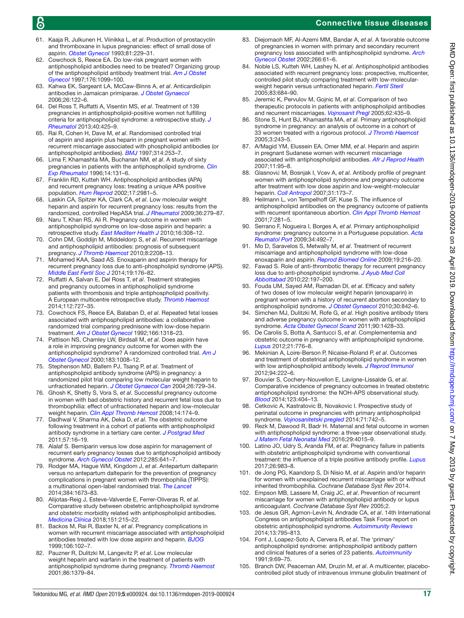# Connective tissue diseases

- <span id="page-16-0"></span>61. Kaaja R, Julkunen H, Viinikka L, *et al*. Production of prostacyclin and thromboxane in lupus pregnancies: effect of small dose of aspirin. *[Obstet Gynecol](http://dx.doi.org/10.1016/0020-7292(93)90340-3)* 1993;81:229–31.
- <span id="page-16-1"></span>62. Cowchock S, Reece EA. Do low-risk pregnant women with antiphospholipid antibodies need to be treated? Organizing group of the antiphospholipid antibody treatment trial. *[Am J Obstet](http://www.ncbi.nlm.nih.gov/pubmed/9166175)  [Gynecol](http://www.ncbi.nlm.nih.gov/pubmed/9166175)* 1997;176:1099–100.
- <span id="page-16-2"></span>63. Kahwa EK, Sargeant LA, McCaw-Binns A, *et al*. Anticardiolipin antibodies in Jamaican primiparae. *[J Obstet Gynaecol](http://dx.doi.org/10.1080/01443610500443352)* 2006;26:122–6.
- <span id="page-16-3"></span>64. Del Ross T, Ruffatti A, Visentin MS, *et al*. Treatment of 139 pregnancies in antiphospholipid-positive women not fulfilling criteria for antiphospholipid syndrome: a retrospective study. *[J](http://dx.doi.org/10.3899/jrheum.120576)  [Rheumatol](http://dx.doi.org/10.3899/jrheum.120576)* 2013;40:425–9.
- <span id="page-16-4"></span>65. Rai R, Cohen H, Dave M, *et al*. Randomised controlled trial of aspirin and aspirin plus heparin in pregnant women with recurrent miscarriage associated with phospholipid antibodies (or antiphospholipid antibodies). *[BMJ](http://dx.doi.org/10.1136/bmj.314.7076.253)* 1997;314:253–7.
- <span id="page-16-11"></span>66. Lima F, Khamashta MA, Buchanan NM, *et al*. A study of sixty pregnancies in patients with the antiphospholipid syndrome. *[Clin](http://www.ncbi.nlm.nih.gov/pubmed/8737718)  [Exp Rheumatol](http://www.ncbi.nlm.nih.gov/pubmed/8737718)* 1996;14:131–6.
- <span id="page-16-12"></span>67. Franklin RD, Kutteh WH. Antiphospholipid antibodies (APA) and recurrent pregnancy loss: treating a unique APA positive population. *[Hum Reprod](http://dx.doi.org/10.1093/humrep/17.11.2981)* 2002;17:2981–5.
- <span id="page-16-13"></span>68. Laskin CA, Spitzer KA, Clark CA, *et al*. Low molecular weight heparin and aspirin for recurrent pregnancy loss: results from the randomized, controlled HepASA trial. *[J Rheumatol](http://dx.doi.org/10.3899/jrheum.080763)* 2009;36:279–87.
- <span id="page-16-14"></span>69. Naru T, Khan RS, Ali R. Pregnancy outcome in women with antiphospholipid syndrome on low-dose aspirin and heparin: a retrospective study. *[East Mediterr Health J](http://dx.doi.org/10.26719/2010.16.3.308)* 2010;16:308–12.
- <span id="page-16-15"></span>70. Cohn DM, Goddijn M, Middeldorp S, *et al*. Recurrent miscarriage and antiphospholipid antibodies: prognosis of subsequent pregnancy. *[J Thromb Haemost](http://dx.doi.org/10.1111/j.1538-7836.2010.04015.x)* 2010;8:2208–13.
- <span id="page-16-16"></span>71. Mohamed KAA, Saad AS. Enoxaparin and aspirin therapy for recurrent pregnancy loss due to anti-phospholipid syndrome (APS). *[Middle East Fertil Soc J](http://dx.doi.org/10.1016/j.mefs.2013.12.004)* 2014;19:176–82.
- <span id="page-16-17"></span>72. Ruffatti A, Salvan E, Del Ross T, *et al*. Treatment strategies and pregnancy outcomes in antiphospholipid syndrome patients with thrombosis and triple antiphospholipid positivity. A European multicentre retrospective study. *[Thromb Haemost](http://dx.doi.org/10.1160/TH14-03-0191)* 2014;112:727–35.
- <span id="page-16-5"></span>73. Cowchock FS, Reece EA, Balaban D, *et al*. Repeated fetal losses associated with antiphospholipid antibodies: a collaborative randomized trial comparing prednisone with low-dose heparin treatment. *[Am J Obstet Gynecol](http://dx.doi.org/10.1016/0002-9378(92)91596-3)* 1992;166:1318–23.
- 74. Pattison NS, Chamley LW, Birdsall M, *et al*. Does aspirin have a role in improving pregnancy outcome for women with the antiphospholipid syndrome? A randomized controlled trial. *[Am J](http://dx.doi.org/10.1067/mob.2000.106754)  [Obstet Gynecol](http://dx.doi.org/10.1067/mob.2000.106754)* 2000;183:1008–12.
- 75. Stephenson MD, Ballem PJ, Tsang P, *et al*. Treatment of antiphospholipid antibody syndrome (APS) in pregnancy: a randomized pilot trial comparing low molecular weight heparin to unfractionated heparin. *[J Obstet Gynaecol Can](http://dx.doi.org/10.1016/S1701-2163(16)30644-2)* 2004;26:729–34.
- 76. Ghosh K, Shetty S, Vora S, *et al*. Successful pregnancy outcome in women with bad obstetric history and recurrent fetal loss due to thrombophilia: effect of unfractionated heparin and low-molecular weight heparin. *[Clin Appl Thromb Hemost](http://dx.doi.org/10.1177/1076029607306400)* 2008;14:174–9.
- 77. Dadhwal V, Sharma AK, Deka D, *et al*. The obstetric outcome following treatment in a cohort of patients with antiphospholipid antibody syndrome in a tertiary care center. *[J Postgrad Med](http://dx.doi.org/10.4103/0022-3859.74285)* 2011;57:16–19.
- 78. Alalaf S. Bemiparin versus low dose aspirin for management of recurrent early pregnancy losses due to antiphospholipid antibody syndrome. *[Arch Gynecol Obstet](http://dx.doi.org/10.1007/s00404-011-2055-y)* 2012;285:641–7.
- <span id="page-16-6"></span>79. Rodger MA, Hague WM, Kingdom J, *et al*. Antepartum dalteparin versus no antepartum dalteparin for the prevention of pregnancy complications in pregnant women with thrombophilia (TIPPS): a multinational open-label randomised trial. *[The Lancet](http://dx.doi.org/10.1016/S0140-6736(14)60793-5)* 2014;384:1673–83.
- <span id="page-16-18"></span>80. Alijotas-Reig J, Esteve-Valverde E, Ferrer-Oliveras R, *et al*. Comparative study between obstetric antiphospholipid syndrome and obstetric morbidity related with antiphospholipid antibodies. *[Medicina Clínica](http://dx.doi.org/10.1016/j.medcli.2017.11.017)* 2018;151:215–22.
- <span id="page-16-7"></span>81. Backos M, Rai R, Baxter N, *et al*. Pregnancy complications in women with recurrent miscarriage associated with antiphospholipid antibodies treated with low dose aspirin and heparin. *[BJOG](http://dx.doi.org/10.1111/j.1471-0528.1999.tb08208.x)* 1999;106:102–7.
- 82. Pauzner R, Dulitzki M, Langevitz P, *et al*. Low molecular weight heparin and warfarin in the treatment of patients with antiphospholipid syndrome during pregnancy. *[Thromb Haemost](http://www.ncbi.nlm.nih.gov/pubmed/11776303)* 2001;86:1379–84.
- <span id="page-16-19"></span>83. Diejomaoh MF, Al-Azemi MM, Bandar A, *et al*. A favorable outcome of pregnancies in women with primary and secondary recurrent pregnancy loss associated with antiphospholipid syndrome. *[Arch](http://dx.doi.org/10.1007/s004040100179)  [Gynecol Obstet](http://dx.doi.org/10.1007/s004040100179)* 2002;266:61–6.
- 84. Noble LS, Kutteh WH, Lashey N, *et al*. Antiphospholipid antibodies associated with recurrent pregnancy loss: prospective, multicenter, controlled pilot study comparing treatment with low-molecularweight heparin versus unfractionated heparin. *[Fertil Steril](http://dx.doi.org/10.1016/j.fertnstert.2004.11.002)* 2005;83:684–90.
- 85. Jeremic K, Pervulov M, Gojnic M, *et al*. Comparison of two therapeutic protocols in patients with antiphospholipid antibodies and recurrent miscarriages. *[Vojnosanit Pregl](http://dx.doi.org/10.2298/VSP0506435J)* 2005;62:435–9.
- 86. Stone S, Hunt BJ, Khamashta MA, *et al*. Primary antiphospholipid syndrome in pregnancy: an analysis of outcome in a cohort of 33 women treated with a rigorous protocol. *[J Thromb Haemost](http://dx.doi.org/10.1111/j.1538-7836.2005.01185.x)* 2005;3:243–5.
- 87. A/Magid YM, Elussein EA, Omer MM, *et al*. Heparin and aspirin in pregnant Sudanese women with recurrent miscarriage associated with antiphospholipid antibodies. *[Afr J Reprod Health](http://www.ncbi.nlm.nih.gov/pubmed/20690292)* 2007;11:95–8.
- 88. Glasnović M, Bosnjak I, Vcev A, *et al*. Antibody profile of pregnant women with antiphospholipid syndrome and pregnancy outcome after treatment with low dose aspirin and low-weight-molecular heparin. *[Coll Antropol](http://www.ncbi.nlm.nih.gov/pubmed/17598397)* 2007;31:173–7.
- <span id="page-16-21"></span>89. Heilmann L, von Tempelhoff GF, Kuse S. The influence of antiphospholipid antibodies on the pregnancy outcome of patients with recurrent spontaneous abortion. *[Clin Appl Thromb Hemost](http://dx.doi.org/10.1177/107602960100700405)* 2001;7:281–5.
- 90. Serrano F, Nogueira I, Borges A, *et al*. Primary antiphospholipid syndrome: pregnancy outcome in a Portuguese population. *[Acta](http://www.ncbi.nlm.nih.gov/pubmed/19820673)  [Reumatol Port](http://www.ncbi.nlm.nih.gov/pubmed/19820673)* 2009;34:492–7.
- 91. Mo D, Saravelos S, Metwally M, *et al*. Treatment of recurrent miscarriage and antiphospholipid syndrome with low-dose enoxaparin and aspirin. *[Reprod Biomed Online](http://dx.doi.org/10.1016/S1472-6483(10)60075-2)* 2009;19:216–20.
- 92. Fawad S. Role of anti-thrombotic therapy for recurrent pregnancy loss due to anti-phospholipid syndrome. *[J Ayub Med Coll](http://www.ncbi.nlm.nih.gov/pubmed/22338455)  [Abbottabad](http://www.ncbi.nlm.nih.gov/pubmed/22338455)* 2010;22:197–200.
- 93. Fouda UM, Sayed AM, Ramadan DI, *et al*. Efficacy and safety of two doses of low molecular weight heparin (enoxaparin) in pregnant women with a history of recurrent abortion secondary to antiphospholipid syndrome. *[J Obstet Gynaecol](http://dx.doi.org/10.3109/01443615.2010.518651)* 2010;30:842–6.
- Simchen MJ, Dulitzki M, Rofe G, et al. High positive antibody titers and adverse pregnancy outcome in women with antiphospholipid syndrome. *[Acta Obstet Gynecol Scand](http://dx.doi.org/10.1111/j.1600-0412.2011.01236.x)* 2011;90:1428–33.
- 95. De Carolis S, Botta A, Santucci S, *et al*. Complementemia and obstetric outcome in pregnancy with antiphospholipid syndrome. *[Lupus](http://dx.doi.org/10.1177/0961203312444172)* 2012;21:776–8.
- 96. Mekinian A, Loire-Berson P, Nicaise-Roland P, *et al*. Outcomes and treatment of obstetrical antiphospholipid syndrome in women with low antiphospholipid antibody levels. *[J Reprod Immunol](http://dx.doi.org/10.1016/j.jri.2012.02.004)* 2012;94:222–6.
- 97. Bouvier S, Cochery-Nouvellon E, Lavigne-Lissalde G, *et al*. Comparative incidence of pregnancy outcomes in treated obstetric antiphospholipid syndrome: the NOH-APS observational study. *[Blood](http://dx.doi.org/10.1182/blood-2013-08-522623)* 2014;123:404–13.
- 98. Cetkovic A, Kastratovic B, Novakovic I. Prospective study of perinatal outcome in pregnancies with primary antiphospholipid syndrome. *[Vojnosanitetski pregled](http://dx.doi.org/10.2298/VSP1408742C)* 2014;71:742–5.
- <span id="page-16-22"></span>99. Rezk M, Dawood R, Badr H. Maternal and fetal outcome in women with antiphospholipid syndrome: a three-year observational study. *[J Matern Fetal Neonatal Med](http://dx.doi.org/10.3109/14767058.2016.1152254)* 2016;29:4015–9.
- 100. Latino JO, Udry S, Aranda FM, *et al*. Pregnancy failure in patients with obstetric antiphospholipid syndrome with conventional treatment: the influence of a triple positive antibody profile. *[Lupus](http://dx.doi.org/10.1177/0961203317692432)* 2017;26:983–8.
- <span id="page-16-8"></span>101. de Jong PG, Kaandorp S, Di Nisio M, *et al*. Aspirin and/or heparin for women with unexplained recurrent miscarriage with or without inherited thrombophilia. *Cochrane Database Syst Rev* 2014.
- <span id="page-16-9"></span>102. Empson MB, Lassere M, Craig JC, *et al*. Prevention of recurrent miscarriage for women with antiphospholipid antibody or lupus anticoagulant. *Cochrane Database Syst Rev* 2005;2.
- <span id="page-16-10"></span>103. de Jesus GR, Agmon-Levin N, Andrade CA, *et al*. 14th International Congress on antiphospholipid antibodies Task Force report on obstetric antiphospholipid syndrome. *[Autoimmunity Reviews](http://dx.doi.org/10.1016/j.autrev.2014.02.003)* 2014;13:795–813.
- 104. Font J, Loapez-Soto A, Cervera R, *et al*. The 'primary' antiphospholipid syndrome: antiphospholipid antibody pattern and clinical features of a series of 23 patients. *[Autoimmunity](http://dx.doi.org/10.3109/08916939108997126)* 1991;9:69–75.
- <span id="page-16-20"></span>105. Branch DW, Peaceman AM, Druzin M, *et al*. A multicenter, placebocontrolled pilot study of intravenous immune globulin treatment of